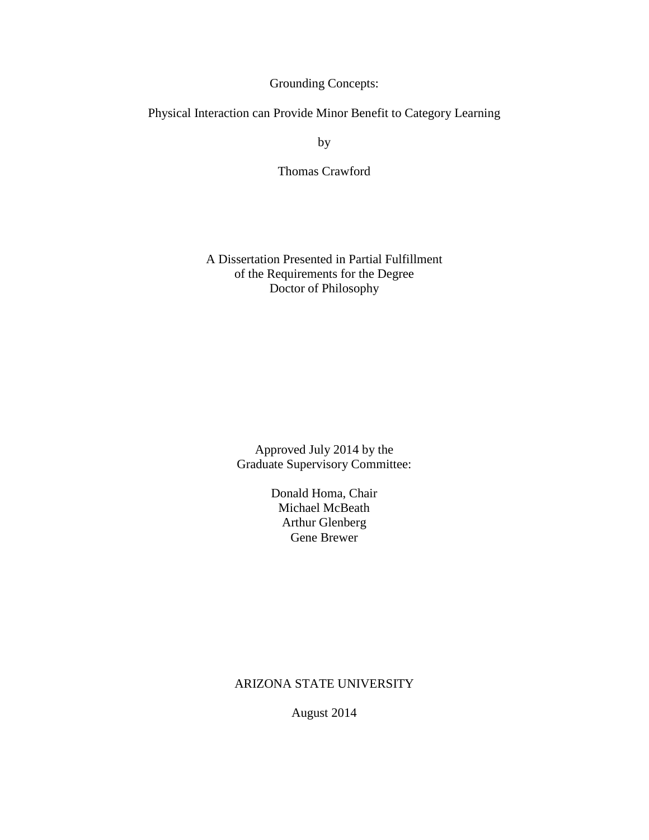Grounding Concepts:

Physical Interaction can Provide Minor Benefit to Category Learning

by

Thomas Crawford

A Dissertation Presented in Partial Fulfillment of the Requirements for the Degree Doctor of Philosophy

> Approved July 2014 by the Graduate Supervisory Committee:

> > Donald Homa, Chair Michael McBeath Arthur Glenberg Gene Brewer

ARIZONA STATE UNIVERSITY

August 2014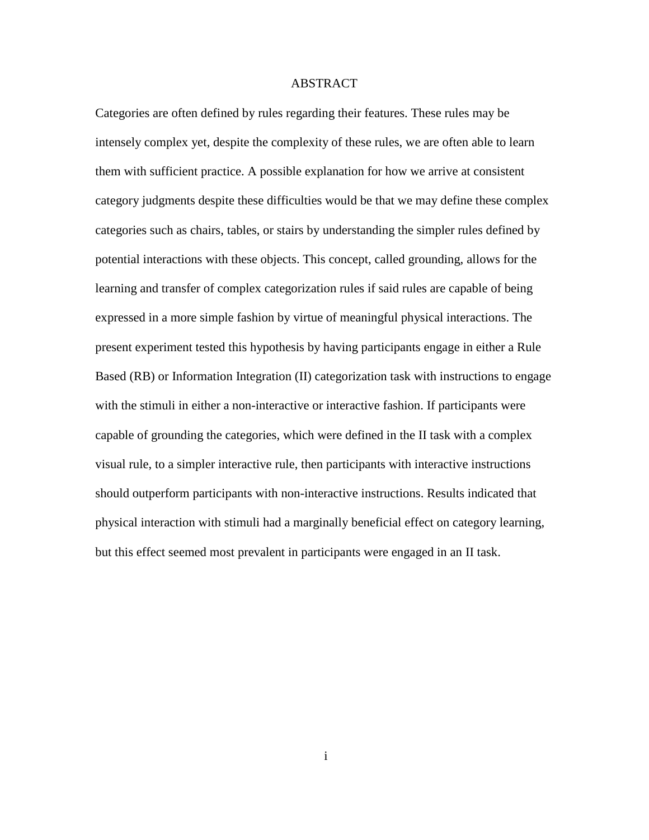## ABSTRACT

Categories are often defined by rules regarding their features. These rules may be intensely complex yet, despite the complexity of these rules, we are often able to learn them with sufficient practice. A possible explanation for how we arrive at consistent category judgments despite these difficulties would be that we may define these complex categories such as chairs, tables, or stairs by understanding the simpler rules defined by potential interactions with these objects. This concept, called grounding, allows for the learning and transfer of complex categorization rules if said rules are capable of being expressed in a more simple fashion by virtue of meaningful physical interactions. The present experiment tested this hypothesis by having participants engage in either a Rule Based (RB) or Information Integration (II) categorization task with instructions to engage with the stimuli in either a non-interactive or interactive fashion. If participants were capable of grounding the categories, which were defined in the II task with a complex visual rule, to a simpler interactive rule, then participants with interactive instructions should outperform participants with non-interactive instructions. Results indicated that physical interaction with stimuli had a marginally beneficial effect on category learning, but this effect seemed most prevalent in participants were engaged in an II task.

i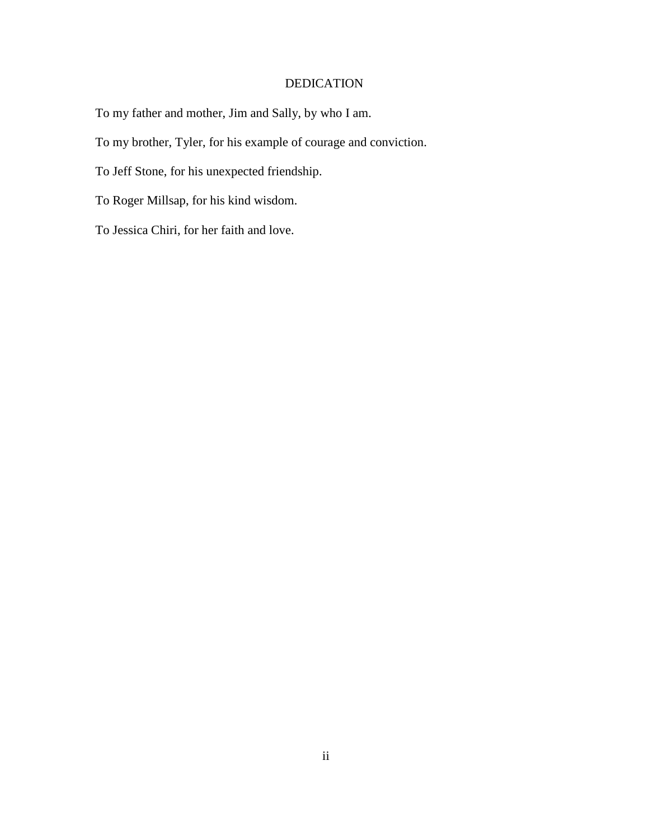## DEDICATION

To my father and mother, Jim and Sally, by who I am.

To my brother, Tyler, for his example of courage and conviction.

To Jeff Stone, for his unexpected friendship.

To Roger Millsap, for his kind wisdom.

To Jessica Chiri, for her faith and love.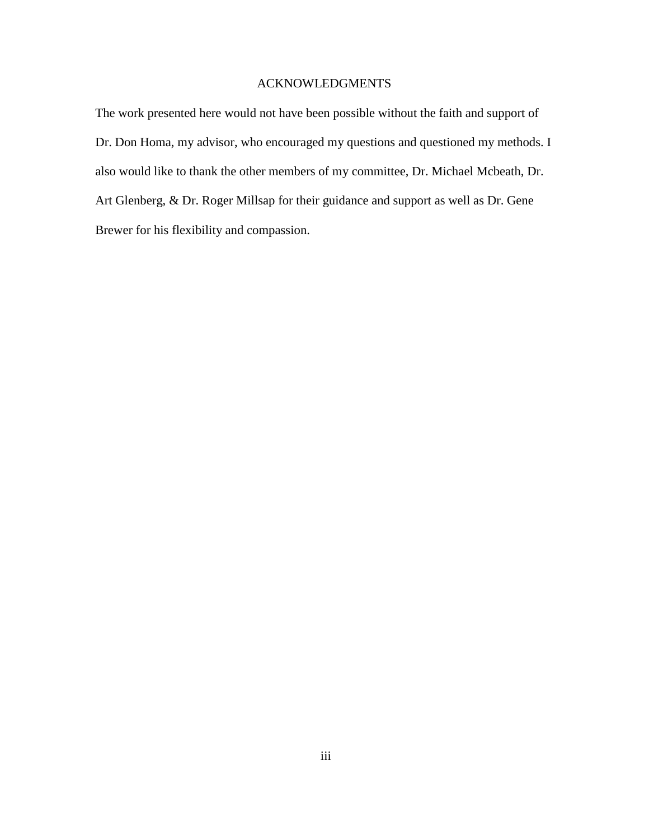## ACKNOWLEDGMENTS

The work presented here would not have been possible without the faith and support of Dr. Don Homa, my advisor, who encouraged my questions and questioned my methods. I also would like to thank the other members of my committee, Dr. Michael Mcbeath, Dr. Art Glenberg, & Dr. Roger Millsap for their guidance and support as well as Dr. Gene Brewer for his flexibility and compassion.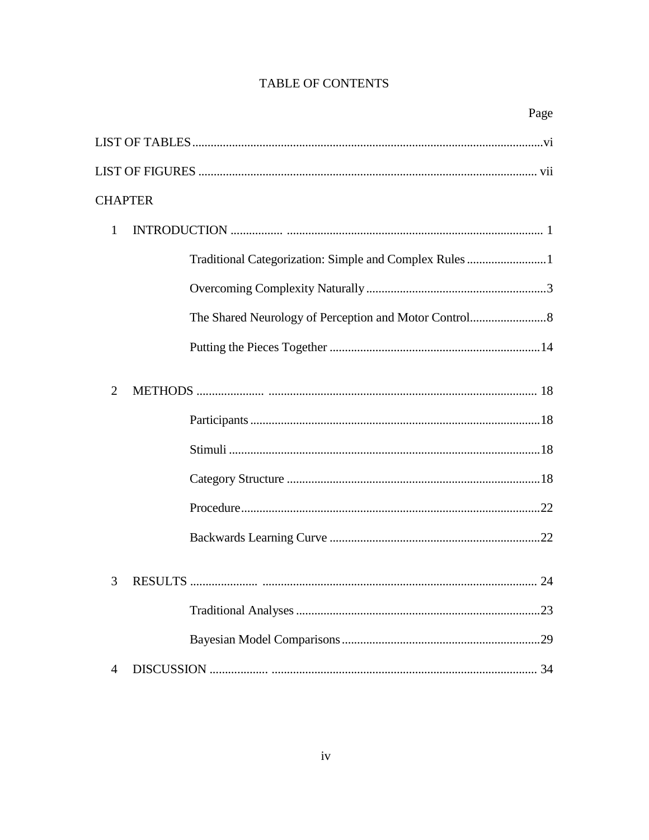# **TABLE OF CONTENTS**

| Page                                                   |
|--------------------------------------------------------|
|                                                        |
|                                                        |
| <b>CHAPTER</b>                                         |
| 1                                                      |
| Traditional Categorization: Simple and Complex Rules 1 |
|                                                        |
|                                                        |
|                                                        |
| 2                                                      |
|                                                        |
|                                                        |
|                                                        |
|                                                        |
|                                                        |
| 24<br>3<br><b>RESULTS</b>                              |
|                                                        |
|                                                        |
| $\overline{4}$                                         |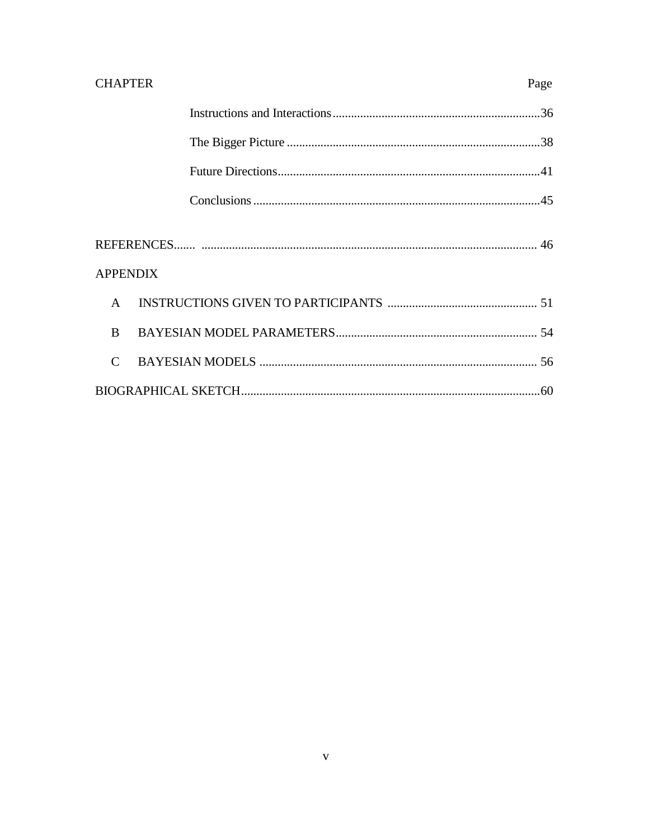| <b>CHAPTER</b>              | Page |
|-----------------------------|------|
|                             |      |
|                             |      |
|                             |      |
|                             |      |
| <b>APPENDIX</b>             |      |
| $\mathsf{A}$                |      |
| <sub>B</sub>                |      |
| $\mathcal{C}_{\mathcal{C}}$ |      |
|                             |      |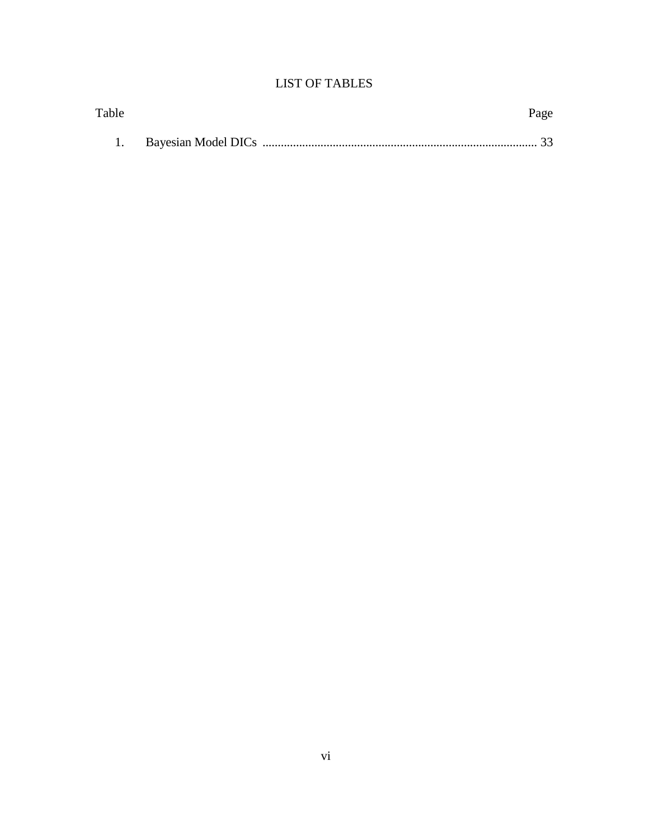# LIST OF TABLES

| Table | Page |
|-------|------|
|       |      |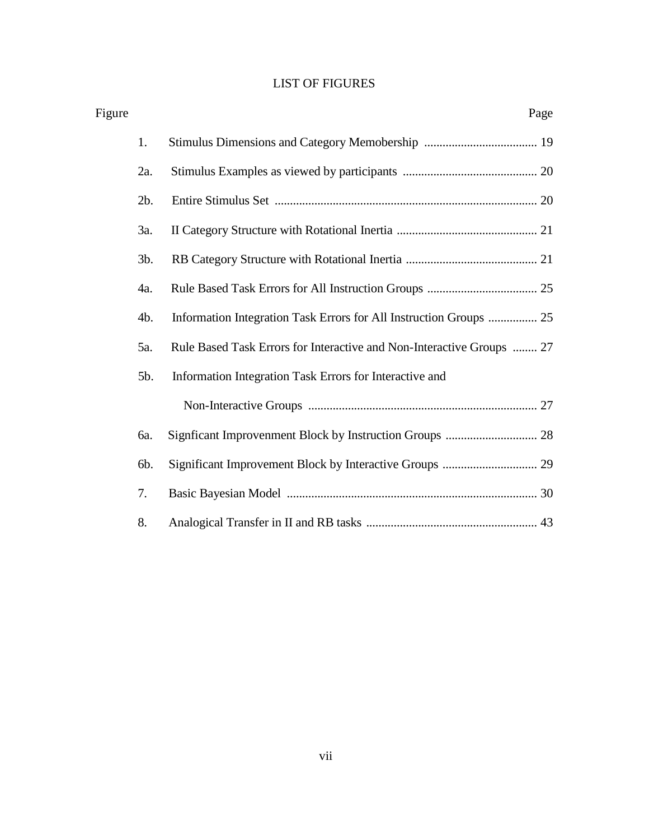# LIST OF FIGURES

| Figure |        | Page                                                                  |  |
|--------|--------|-----------------------------------------------------------------------|--|
|        | 1.     |                                                                       |  |
|        | 2a.    |                                                                       |  |
|        | 2b.    |                                                                       |  |
|        | 3a.    |                                                                       |  |
|        | $3b$ . |                                                                       |  |
|        | 4a.    |                                                                       |  |
|        | 4b.    | Information Integration Task Errors for All Instruction Groups  25    |  |
|        | 5a.    | Rule Based Task Errors for Interactive and Non-Interactive Groups  27 |  |
|        | 5b.    | Information Integration Task Errors for Interactive and               |  |
|        |        |                                                                       |  |
|        | 6a.    |                                                                       |  |
|        | 6b.    |                                                                       |  |
|        | 7.     |                                                                       |  |
|        | 8.     |                                                                       |  |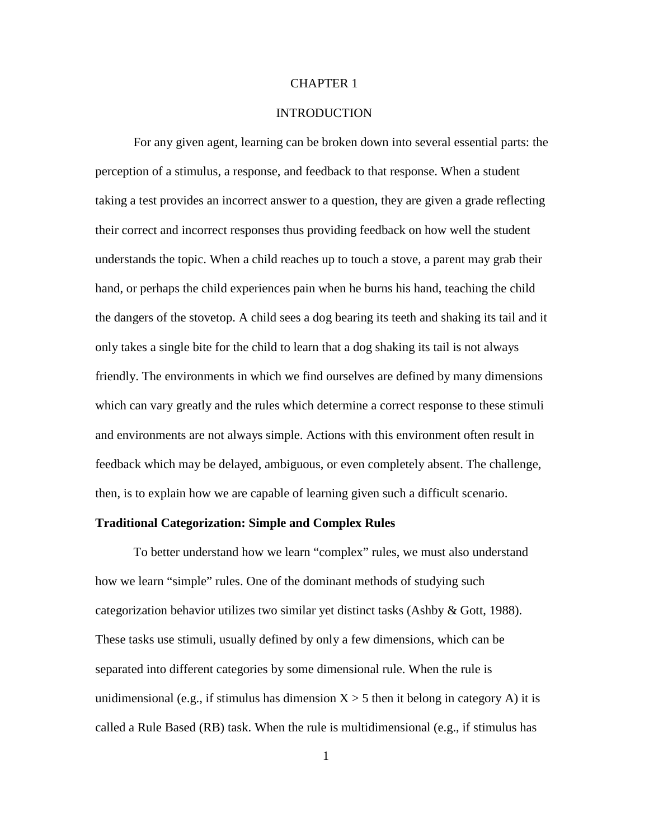## CHAPTER 1

## **INTRODUCTION**

For any given agent, learning can be broken down into several essential parts: the perception of a stimulus, a response, and feedback to that response. When a student taking a test provides an incorrect answer to a question, they are given a grade reflecting their correct and incorrect responses thus providing feedback on how well the student understands the topic. When a child reaches up to touch a stove, a parent may grab their hand, or perhaps the child experiences pain when he burns his hand, teaching the child the dangers of the stovetop. A child sees a dog bearing its teeth and shaking its tail and it only takes a single bite for the child to learn that a dog shaking its tail is not always friendly. The environments in which we find ourselves are defined by many dimensions which can vary greatly and the rules which determine a correct response to these stimuli and environments are not always simple. Actions with this environment often result in feedback which may be delayed, ambiguous, or even completely absent. The challenge, then, is to explain how we are capable of learning given such a difficult scenario.

### **Traditional Categorization: Simple and Complex Rules**

To better understand how we learn "complex" rules, we must also understand how we learn "simple" rules. One of the dominant methods of studying such categorization behavior utilizes two similar yet distinct tasks (Ashby & Gott, 1988). These tasks use stimuli, usually defined by only a few dimensions, which can be separated into different categories by some dimensional rule. When the rule is unidimensional (e.g., if stimulus has dimension  $X > 5$  then it belong in category A) it is called a Rule Based (RB) task. When the rule is multidimensional (e.g., if stimulus has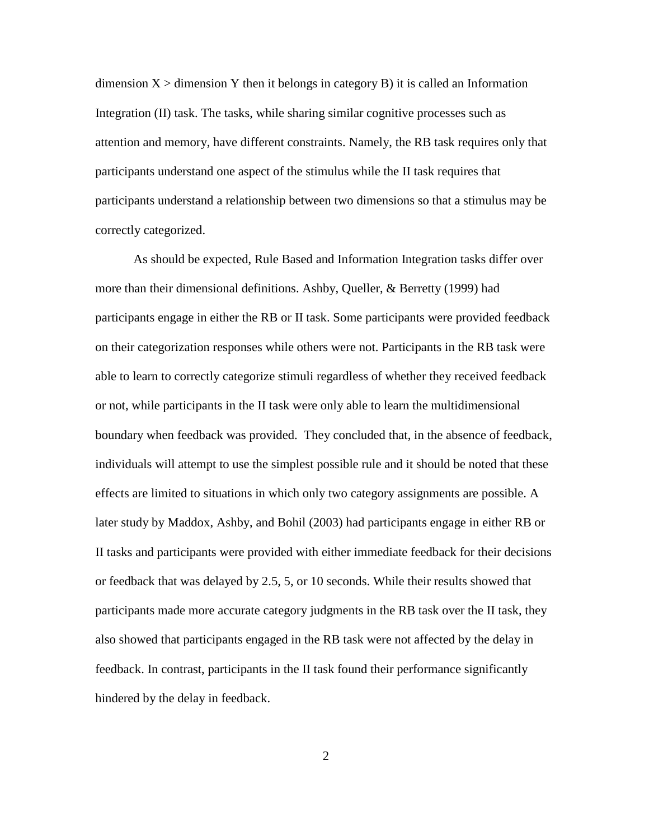dimension  $X >$  dimension Y then it belongs in category B) it is called an Information Integration (II) task. The tasks, while sharing similar cognitive processes such as attention and memory, have different constraints. Namely, the RB task requires only that participants understand one aspect of the stimulus while the II task requires that participants understand a relationship between two dimensions so that a stimulus may be correctly categorized.

As should be expected, Rule Based and Information Integration tasks differ over more than their dimensional definitions. Ashby, Queller, & Berretty (1999) had participants engage in either the RB or II task. Some participants were provided feedback on their categorization responses while others were not. Participants in the RB task were able to learn to correctly categorize stimuli regardless of whether they received feedback or not, while participants in the II task were only able to learn the multidimensional boundary when feedback was provided. They concluded that, in the absence of feedback, individuals will attempt to use the simplest possible rule and it should be noted that these effects are limited to situations in which only two category assignments are possible. A later study by Maddox, Ashby, and Bohil (2003) had participants engage in either RB or II tasks and participants were provided with either immediate feedback for their decisions or feedback that was delayed by 2.5, 5, or 10 seconds. While their results showed that participants made more accurate category judgments in the RB task over the II task, they also showed that participants engaged in the RB task were not affected by the delay in feedback. In contrast, participants in the II task found their performance significantly hindered by the delay in feedback.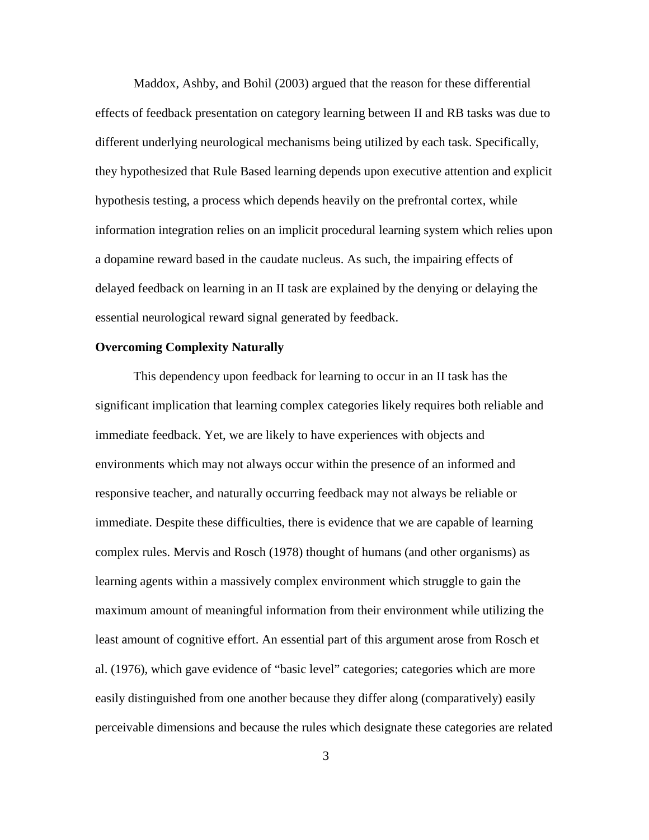Maddox, Ashby, and Bohil (2003) argued that the reason for these differential effects of feedback presentation on category learning between II and RB tasks was due to different underlying neurological mechanisms being utilized by each task. Specifically, they hypothesized that Rule Based learning depends upon executive attention and explicit hypothesis testing, a process which depends heavily on the prefrontal cortex, while information integration relies on an implicit procedural learning system which relies upon a dopamine reward based in the caudate nucleus. As such, the impairing effects of delayed feedback on learning in an II task are explained by the denying or delaying the essential neurological reward signal generated by feedback.

## **Overcoming Complexity Naturally**

This dependency upon feedback for learning to occur in an II task has the significant implication that learning complex categories likely requires both reliable and immediate feedback. Yet, we are likely to have experiences with objects and environments which may not always occur within the presence of an informed and responsive teacher, and naturally occurring feedback may not always be reliable or immediate. Despite these difficulties, there is evidence that we are capable of learning complex rules. Mervis and Rosch (1978) thought of humans (and other organisms) as learning agents within a massively complex environment which struggle to gain the maximum amount of meaningful information from their environment while utilizing the least amount of cognitive effort. An essential part of this argument arose from Rosch et al. (1976), which gave evidence of "basic level" categories; categories which are more easily distinguished from one another because they differ along (comparatively) easily perceivable dimensions and because the rules which designate these categories are related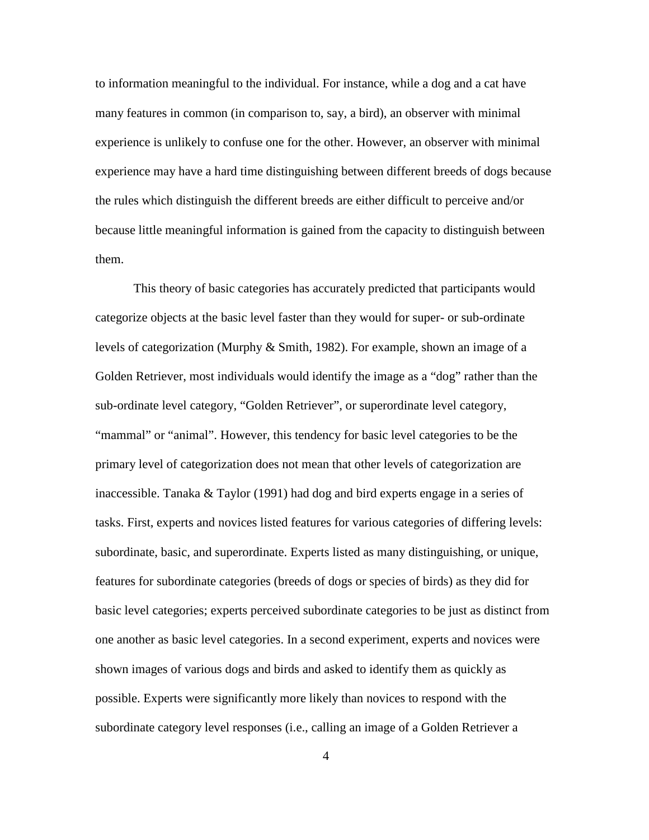to information meaningful to the individual. For instance, while a dog and a cat have many features in common (in comparison to, say, a bird), an observer with minimal experience is unlikely to confuse one for the other. However, an observer with minimal experience may have a hard time distinguishing between different breeds of dogs because the rules which distinguish the different breeds are either difficult to perceive and/or because little meaningful information is gained from the capacity to distinguish between them.

This theory of basic categories has accurately predicted that participants would categorize objects at the basic level faster than they would for super- or sub-ordinate levels of categorization (Murphy & Smith, 1982). For example, shown an image of a Golden Retriever, most individuals would identify the image as a "dog" rather than the sub-ordinate level category, "Golden Retriever", or superordinate level category, "mammal" or "animal". However, this tendency for basic level categories to be the primary level of categorization does not mean that other levels of categorization are inaccessible. Tanaka & Taylor (1991) had dog and bird experts engage in a series of tasks. First, experts and novices listed features for various categories of differing levels: subordinate, basic, and superordinate. Experts listed as many distinguishing, or unique, features for subordinate categories (breeds of dogs or species of birds) as they did for basic level categories; experts perceived subordinate categories to be just as distinct from one another as basic level categories. In a second experiment, experts and novices were shown images of various dogs and birds and asked to identify them as quickly as possible. Experts were significantly more likely than novices to respond with the subordinate category level responses (i.e., calling an image of a Golden Retriever a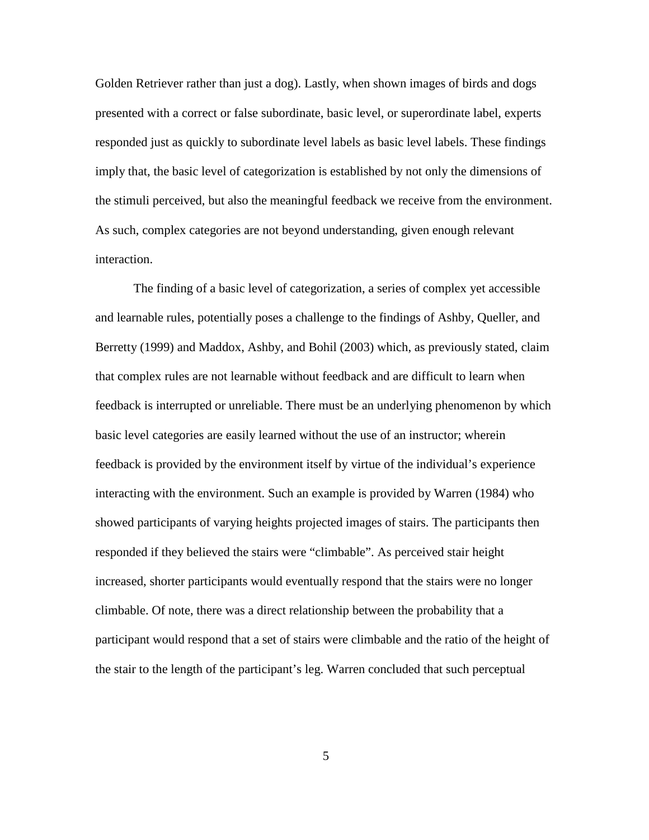Golden Retriever rather than just a dog). Lastly, when shown images of birds and dogs presented with a correct or false subordinate, basic level, or superordinate label, experts responded just as quickly to subordinate level labels as basic level labels. These findings imply that, the basic level of categorization is established by not only the dimensions of the stimuli perceived, but also the meaningful feedback we receive from the environment. As such, complex categories are not beyond understanding, given enough relevant interaction.

The finding of a basic level of categorization, a series of complex yet accessible and learnable rules, potentially poses a challenge to the findings of Ashby, Queller, and Berretty (1999) and Maddox, Ashby, and Bohil (2003) which, as previously stated, claim that complex rules are not learnable without feedback and are difficult to learn when feedback is interrupted or unreliable. There must be an underlying phenomenon by which basic level categories are easily learned without the use of an instructor; wherein feedback is provided by the environment itself by virtue of the individual's experience interacting with the environment. Such an example is provided by Warren (1984) who showed participants of varying heights projected images of stairs. The participants then responded if they believed the stairs were "climbable". As perceived stair height increased, shorter participants would eventually respond that the stairs were no longer climbable. Of note, there was a direct relationship between the probability that a participant would respond that a set of stairs were climbable and the ratio of the height of the stair to the length of the participant's leg. Warren concluded that such perceptual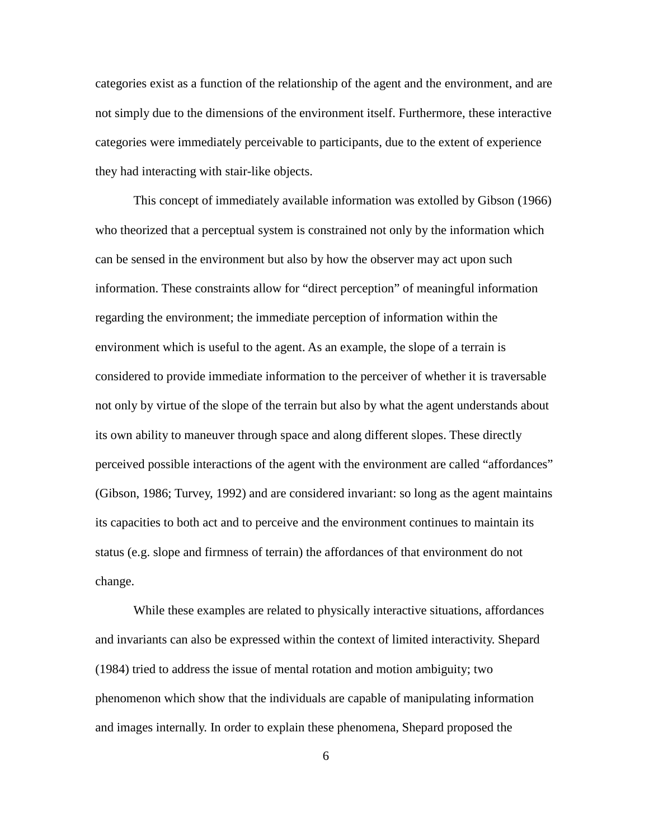categories exist as a function of the relationship of the agent and the environment, and are not simply due to the dimensions of the environment itself. Furthermore, these interactive categories were immediately perceivable to participants, due to the extent of experience they had interacting with stair-like objects.

This concept of immediately available information was extolled by Gibson (1966) who theorized that a perceptual system is constrained not only by the information which can be sensed in the environment but also by how the observer may act upon such information. These constraints allow for "direct perception" of meaningful information regarding the environment; the immediate perception of information within the environment which is useful to the agent. As an example, the slope of a terrain is considered to provide immediate information to the perceiver of whether it is traversable not only by virtue of the slope of the terrain but also by what the agent understands about its own ability to maneuver through space and along different slopes. These directly perceived possible interactions of the agent with the environment are called "affordances" (Gibson, 1986; Turvey, 1992) and are considered invariant: so long as the agent maintains its capacities to both act and to perceive and the environment continues to maintain its status (e.g. slope and firmness of terrain) the affordances of that environment do not change.

While these examples are related to physically interactive situations, affordances and invariants can also be expressed within the context of limited interactivity. Shepard (1984) tried to address the issue of mental rotation and motion ambiguity; two phenomenon which show that the individuals are capable of manipulating information and images internally. In order to explain these phenomena, Shepard proposed the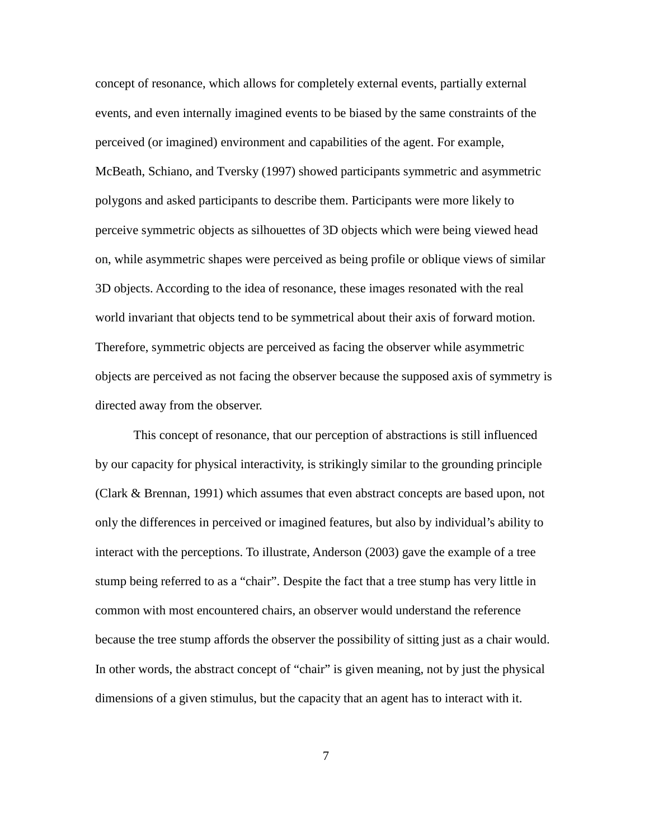concept of resonance, which allows for completely external events, partially external events, and even internally imagined events to be biased by the same constraints of the perceived (or imagined) environment and capabilities of the agent. For example, McBeath, Schiano, and Tversky (1997) showed participants symmetric and asymmetric polygons and asked participants to describe them. Participants were more likely to perceive symmetric objects as silhouettes of 3D objects which were being viewed head on, while asymmetric shapes were perceived as being profile or oblique views of similar 3D objects. According to the idea of resonance, these images resonated with the real world invariant that objects tend to be symmetrical about their axis of forward motion. Therefore, symmetric objects are perceived as facing the observer while asymmetric objects are perceived as not facing the observer because the supposed axis of symmetry is directed away from the observer.

This concept of resonance, that our perception of abstractions is still influenced by our capacity for physical interactivity, is strikingly similar to the grounding principle (Clark & Brennan, 1991) which assumes that even abstract concepts are based upon, not only the differences in perceived or imagined features, but also by individual's ability to interact with the perceptions. To illustrate, Anderson (2003) gave the example of a tree stump being referred to as a "chair". Despite the fact that a tree stump has very little in common with most encountered chairs, an observer would understand the reference because the tree stump affords the observer the possibility of sitting just as a chair would. In other words, the abstract concept of "chair" is given meaning, not by just the physical dimensions of a given stimulus, but the capacity that an agent has to interact with it.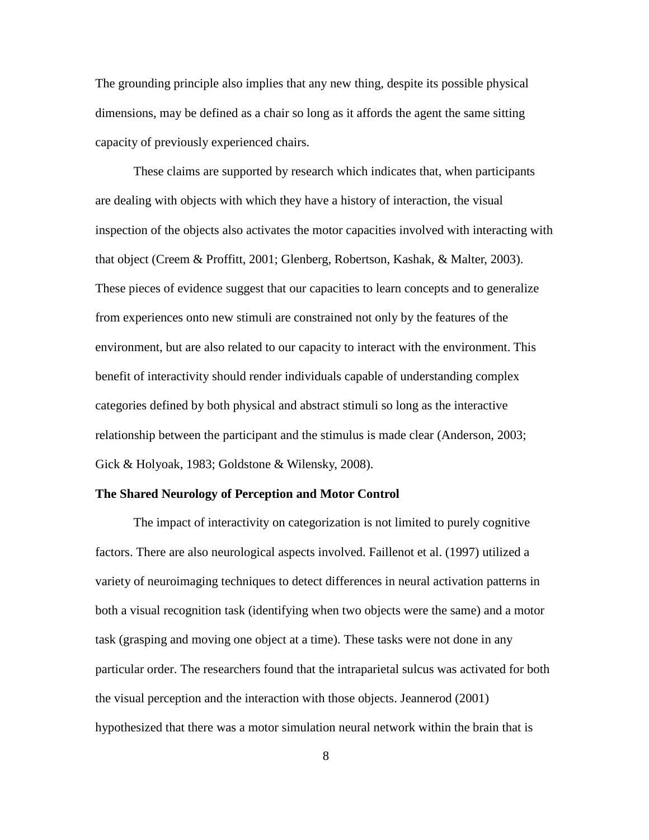The grounding principle also implies that any new thing, despite its possible physical dimensions, may be defined as a chair so long as it affords the agent the same sitting capacity of previously experienced chairs.

These claims are supported by research which indicates that, when participants are dealing with objects with which they have a history of interaction, the visual inspection of the objects also activates the motor capacities involved with interacting with that object (Creem & Proffitt, 2001; Glenberg, Robertson, Kashak, & Malter, 2003). These pieces of evidence suggest that our capacities to learn concepts and to generalize from experiences onto new stimuli are constrained not only by the features of the environment, but are also related to our capacity to interact with the environment. This benefit of interactivity should render individuals capable of understanding complex categories defined by both physical and abstract stimuli so long as the interactive relationship between the participant and the stimulus is made clear (Anderson, 2003; Gick & Holyoak, 1983; Goldstone & Wilensky, 2008).

### **The Shared Neurology of Perception and Motor Control**

The impact of interactivity on categorization is not limited to purely cognitive factors. There are also neurological aspects involved. Faillenot et al. (1997) utilized a variety of neuroimaging techniques to detect differences in neural activation patterns in both a visual recognition task (identifying when two objects were the same) and a motor task (grasping and moving one object at a time). These tasks were not done in any particular order. The researchers found that the intraparietal sulcus was activated for both the visual perception and the interaction with those objects. Jeannerod (2001) hypothesized that there was a motor simulation neural network within the brain that is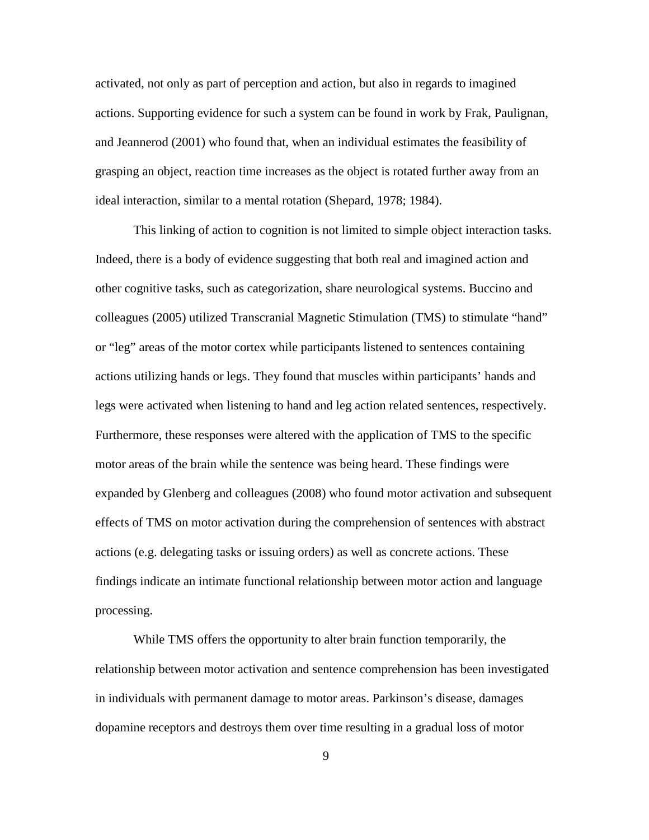activated, not only as part of perception and action, but also in regards to imagined actions. Supporting evidence for such a system can be found in work by Frak, Paulignan, and Jeannerod (2001) who found that, when an individual estimates the feasibility of grasping an object, reaction time increases as the object is rotated further away from an ideal interaction, similar to a mental rotation (Shepard, 1978; 1984).

This linking of action to cognition is not limited to simple object interaction tasks. Indeed, there is a body of evidence suggesting that both real and imagined action and other cognitive tasks, such as categorization, share neurological systems. Buccino and colleagues (2005) utilized Transcranial Magnetic Stimulation (TMS) to stimulate "hand" or "leg" areas of the motor cortex while participants listened to sentences containing actions utilizing hands or legs. They found that muscles within participants' hands and legs were activated when listening to hand and leg action related sentences, respectively. Furthermore, these responses were altered with the application of TMS to the specific motor areas of the brain while the sentence was being heard. These findings were expanded by Glenberg and colleagues (2008) who found motor activation and subsequent effects of TMS on motor activation during the comprehension of sentences with abstract actions (e.g. delegating tasks or issuing orders) as well as concrete actions. These findings indicate an intimate functional relationship between motor action and language processing.

While TMS offers the opportunity to alter brain function temporarily, the relationship between motor activation and sentence comprehension has been investigated in individuals with permanent damage to motor areas. Parkinson's disease, damages dopamine receptors and destroys them over time resulting in a gradual loss of motor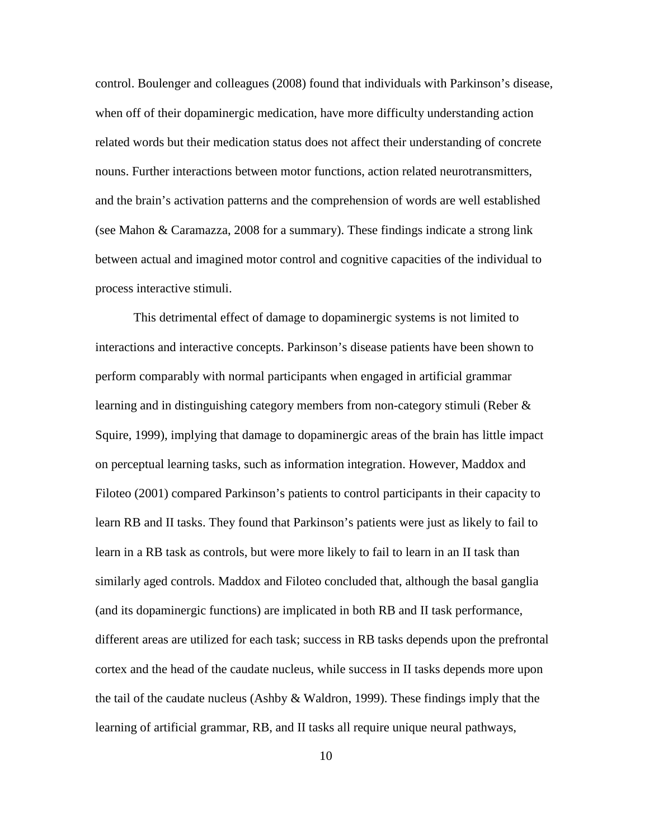control. Boulenger and colleagues (2008) found that individuals with Parkinson's disease, when off of their dopaminergic medication, have more difficulty understanding action related words but their medication status does not affect their understanding of concrete nouns. Further interactions between motor functions, action related neurotransmitters, and the brain's activation patterns and the comprehension of words are well established (see Mahon & Caramazza, 2008 for a summary). These findings indicate a strong link between actual and imagined motor control and cognitive capacities of the individual to process interactive stimuli.

This detrimental effect of damage to dopaminergic systems is not limited to interactions and interactive concepts. Parkinson's disease patients have been shown to perform comparably with normal participants when engaged in artificial grammar learning and in distinguishing category members from non-category stimuli (Reber & Squire, 1999), implying that damage to dopaminergic areas of the brain has little impact on perceptual learning tasks, such as information integration. However, Maddox and Filoteo (2001) compared Parkinson's patients to control participants in their capacity to learn RB and II tasks. They found that Parkinson's patients were just as likely to fail to learn in a RB task as controls, but were more likely to fail to learn in an II task than similarly aged controls. Maddox and Filoteo concluded that, although the basal ganglia (and its dopaminergic functions) are implicated in both RB and II task performance, different areas are utilized for each task; success in RB tasks depends upon the prefrontal cortex and the head of the caudate nucleus, while success in II tasks depends more upon the tail of the caudate nucleus (Ashby & Waldron, 1999). These findings imply that the learning of artificial grammar, RB, and II tasks all require unique neural pathways,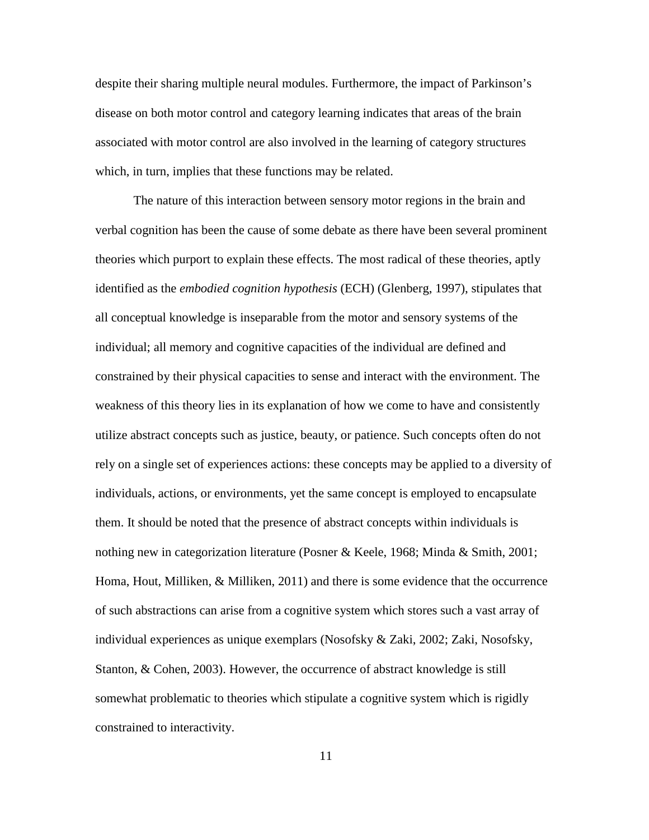despite their sharing multiple neural modules. Furthermore, the impact of Parkinson's disease on both motor control and category learning indicates that areas of the brain associated with motor control are also involved in the learning of category structures which, in turn, implies that these functions may be related.

The nature of this interaction between sensory motor regions in the brain and verbal cognition has been the cause of some debate as there have been several prominent theories which purport to explain these effects. The most radical of these theories, aptly identified as the *embodied cognition hypothesis* (ECH) (Glenberg, 1997), stipulates that all conceptual knowledge is inseparable from the motor and sensory systems of the individual; all memory and cognitive capacities of the individual are defined and constrained by their physical capacities to sense and interact with the environment. The weakness of this theory lies in its explanation of how we come to have and consistently utilize abstract concepts such as justice, beauty, or patience. Such concepts often do not rely on a single set of experiences actions: these concepts may be applied to a diversity of individuals, actions, or environments, yet the same concept is employed to encapsulate them. It should be noted that the presence of abstract concepts within individuals is nothing new in categorization literature (Posner & Keele, 1968; Minda & Smith, 2001; Homa, Hout, Milliken, & Milliken, 2011) and there is some evidence that the occurrence of such abstractions can arise from a cognitive system which stores such a vast array of individual experiences as unique exemplars (Nosofsky & Zaki, 2002; Zaki, Nosofsky, Stanton, & Cohen, 2003). However, the occurrence of abstract knowledge is still somewhat problematic to theories which stipulate a cognitive system which is rigidly constrained to interactivity.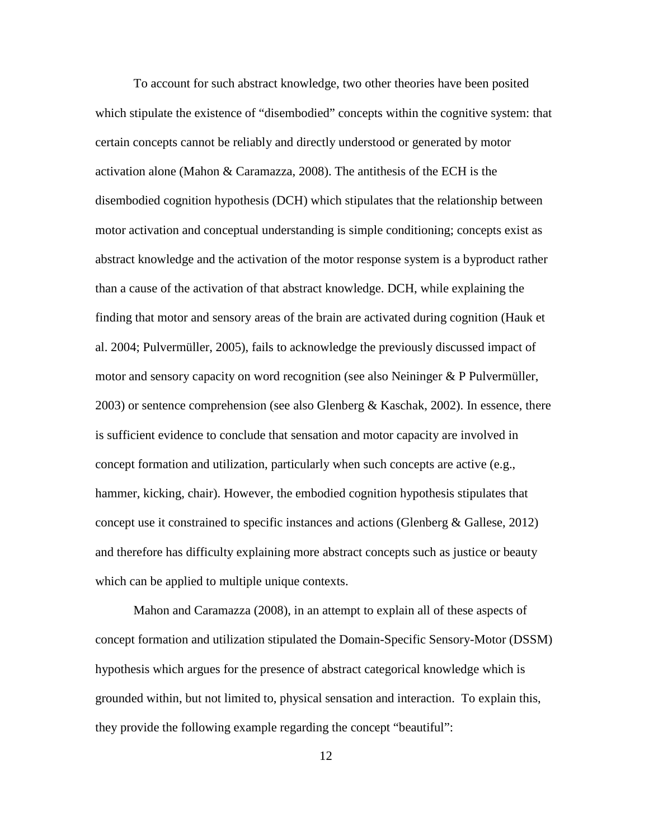To account for such abstract knowledge, two other theories have been posited which stipulate the existence of "disembodied" concepts within the cognitive system: that certain concepts cannot be reliably and directly understood or generated by motor activation alone (Mahon & Caramazza, 2008). The antithesis of the ECH is the disembodied cognition hypothesis (DCH) which stipulates that the relationship between motor activation and conceptual understanding is simple conditioning; concepts exist as abstract knowledge and the activation of the motor response system is a byproduct rather than a cause of the activation of that abstract knowledge. DCH, while explaining the finding that motor and sensory areas of the brain are activated during cognition (Hauk et al. 2004; Pulvermüller, 2005), fails to acknowledge the previously discussed impact of motor and sensory capacity on word recognition (see also Neininger & P Pulvermüller, 2003) or sentence comprehension (see also Glenberg & Kaschak, 2002). In essence, there is sufficient evidence to conclude that sensation and motor capacity are involved in concept formation and utilization, particularly when such concepts are active (e.g., hammer, kicking, chair). However, the embodied cognition hypothesis stipulates that concept use it constrained to specific instances and actions (Glenberg & Gallese, 2012) and therefore has difficulty explaining more abstract concepts such as justice or beauty which can be applied to multiple unique contexts.

Mahon and Caramazza (2008), in an attempt to explain all of these aspects of concept formation and utilization stipulated the Domain-Specific Sensory-Motor (DSSM) hypothesis which argues for the presence of abstract categorical knowledge which is grounded within, but not limited to, physical sensation and interaction. To explain this, they provide the following example regarding the concept "beautiful":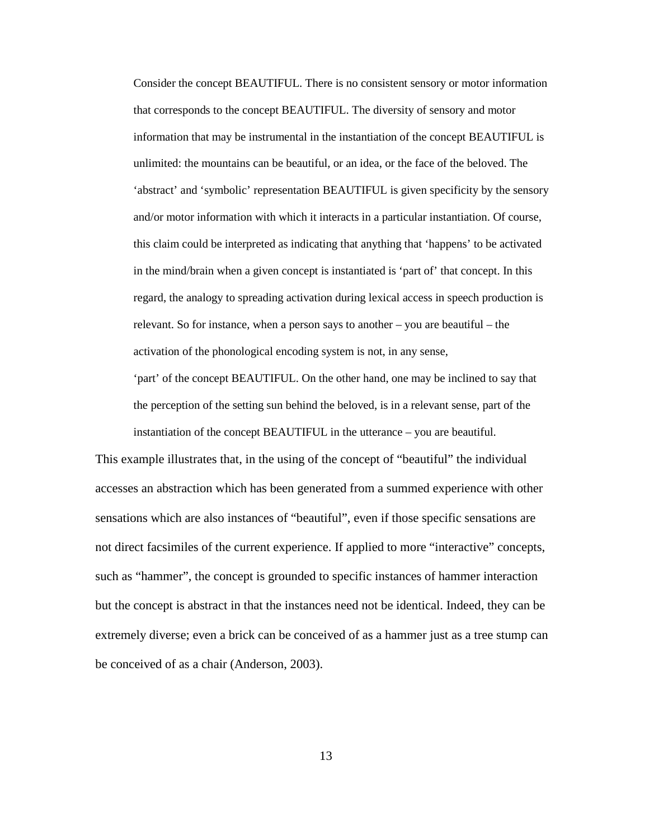Consider the concept BEAUTIFUL. There is no consistent sensory or motor information that corresponds to the concept BEAUTIFUL. The diversity of sensory and motor information that may be instrumental in the instantiation of the concept BEAUTIFUL is unlimited: the mountains can be beautiful, or an idea, or the face of the beloved. The 'abstract' and 'symbolic' representation BEAUTIFUL is given specificity by the sensory and/or motor information with which it interacts in a particular instantiation. Of course, this claim could be interpreted as indicating that anything that 'happens' to be activated in the mind/brain when a given concept is instantiated is 'part of' that concept. In this regard, the analogy to spreading activation during lexical access in speech production is relevant. So for instance, when a person says to another – you are beautiful – the activation of the phonological encoding system is not, in any sense,

'part' of the concept BEAUTIFUL. On the other hand, one may be inclined to say that the perception of the setting sun behind the beloved, is in a relevant sense, part of the instantiation of the concept BEAUTIFUL in the utterance – you are beautiful.

This example illustrates that, in the using of the concept of "beautiful" the individual accesses an abstraction which has been generated from a summed experience with other sensations which are also instances of "beautiful", even if those specific sensations are not direct facsimiles of the current experience. If applied to more "interactive" concepts, such as "hammer", the concept is grounded to specific instances of hammer interaction but the concept is abstract in that the instances need not be identical. Indeed, they can be extremely diverse; even a brick can be conceived of as a hammer just as a tree stump can be conceived of as a chair (Anderson, 2003).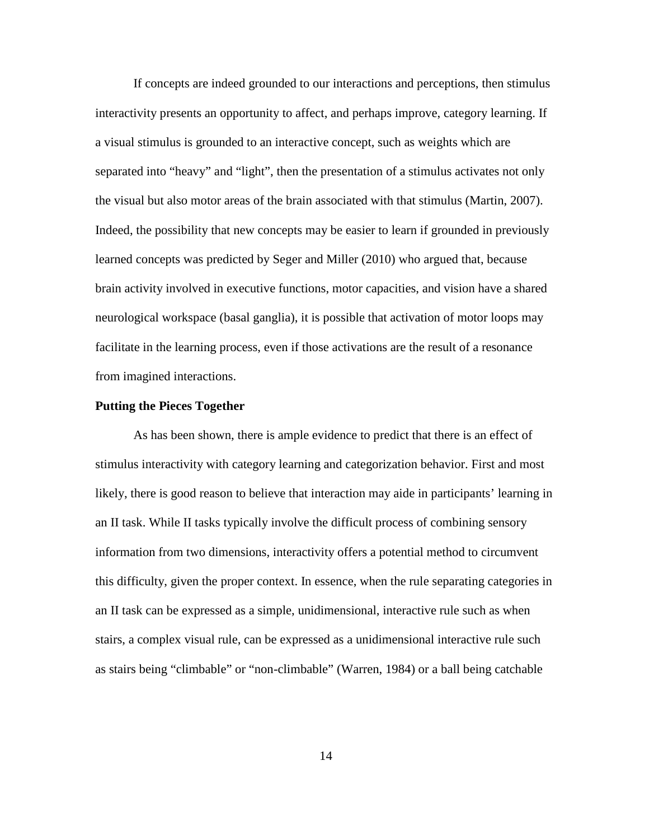If concepts are indeed grounded to our interactions and perceptions, then stimulus interactivity presents an opportunity to affect, and perhaps improve, category learning. If a visual stimulus is grounded to an interactive concept, such as weights which are separated into "heavy" and "light", then the presentation of a stimulus activates not only the visual but also motor areas of the brain associated with that stimulus (Martin, 2007). Indeed, the possibility that new concepts may be easier to learn if grounded in previously learned concepts was predicted by Seger and Miller (2010) who argued that, because brain activity involved in executive functions, motor capacities, and vision have a shared neurological workspace (basal ganglia), it is possible that activation of motor loops may facilitate in the learning process, even if those activations are the result of a resonance from imagined interactions.

#### **Putting the Pieces Together**

As has been shown, there is ample evidence to predict that there is an effect of stimulus interactivity with category learning and categorization behavior. First and most likely, there is good reason to believe that interaction may aide in participants' learning in an II task. While II tasks typically involve the difficult process of combining sensory information from two dimensions, interactivity offers a potential method to circumvent this difficulty, given the proper context. In essence, when the rule separating categories in an II task can be expressed as a simple, unidimensional, interactive rule such as when stairs, a complex visual rule, can be expressed as a unidimensional interactive rule such as stairs being "climbable" or "non-climbable" (Warren, 1984) or a ball being catchable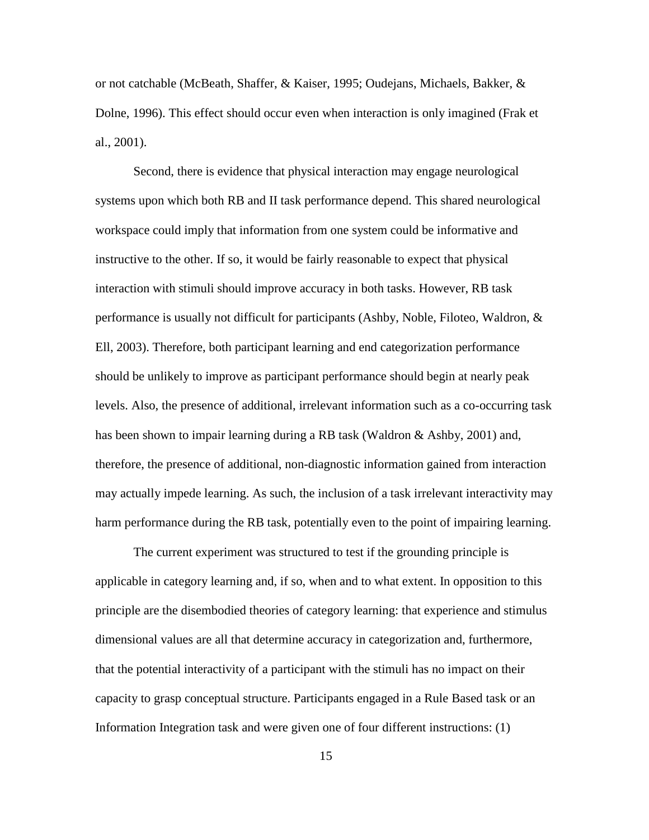or not catchable (McBeath, Shaffer, & Kaiser, 1995; Oudejans, Michaels, Bakker, & Dolne, 1996). This effect should occur even when interaction is only imagined (Frak et al., 2001).

Second, there is evidence that physical interaction may engage neurological systems upon which both RB and II task performance depend. This shared neurological workspace could imply that information from one system could be informative and instructive to the other. If so, it would be fairly reasonable to expect that physical interaction with stimuli should improve accuracy in both tasks. However, RB task performance is usually not difficult for participants (Ashby, Noble, Filoteo, Waldron, & Ell, 2003). Therefore, both participant learning and end categorization performance should be unlikely to improve as participant performance should begin at nearly peak levels. Also, the presence of additional, irrelevant information such as a co-occurring task has been shown to impair learning during a RB task (Waldron & Ashby, 2001) and, therefore, the presence of additional, non-diagnostic information gained from interaction may actually impede learning. As such, the inclusion of a task irrelevant interactivity may harm performance during the RB task, potentially even to the point of impairing learning.

The current experiment was structured to test if the grounding principle is applicable in category learning and, if so, when and to what extent. In opposition to this principle are the disembodied theories of category learning: that experience and stimulus dimensional values are all that determine accuracy in categorization and, furthermore, that the potential interactivity of a participant with the stimuli has no impact on their capacity to grasp conceptual structure. Participants engaged in a Rule Based task or an Information Integration task and were given one of four different instructions: (1)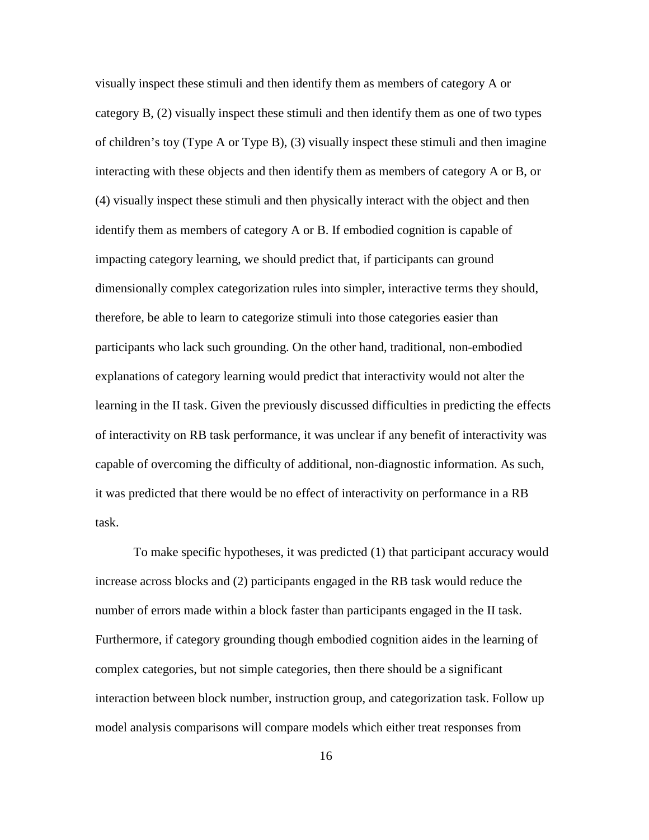visually inspect these stimuli and then identify them as members of category A or category B, (2) visually inspect these stimuli and then identify them as one of two types of children's toy (Type A or Type B), (3) visually inspect these stimuli and then imagine interacting with these objects and then identify them as members of category A or B, or (4) visually inspect these stimuli and then physically interact with the object and then identify them as members of category A or B. If embodied cognition is capable of impacting category learning, we should predict that, if participants can ground dimensionally complex categorization rules into simpler, interactive terms they should, therefore, be able to learn to categorize stimuli into those categories easier than participants who lack such grounding. On the other hand, traditional, non-embodied explanations of category learning would predict that interactivity would not alter the learning in the II task. Given the previously discussed difficulties in predicting the effects of interactivity on RB task performance, it was unclear if any benefit of interactivity was capable of overcoming the difficulty of additional, non-diagnostic information. As such, it was predicted that there would be no effect of interactivity on performance in a RB task.

To make specific hypotheses, it was predicted (1) that participant accuracy would increase across blocks and (2) participants engaged in the RB task would reduce the number of errors made within a block faster than participants engaged in the II task. Furthermore, if category grounding though embodied cognition aides in the learning of complex categories, but not simple categories, then there should be a significant interaction between block number, instruction group, and categorization task. Follow up model analysis comparisons will compare models which either treat responses from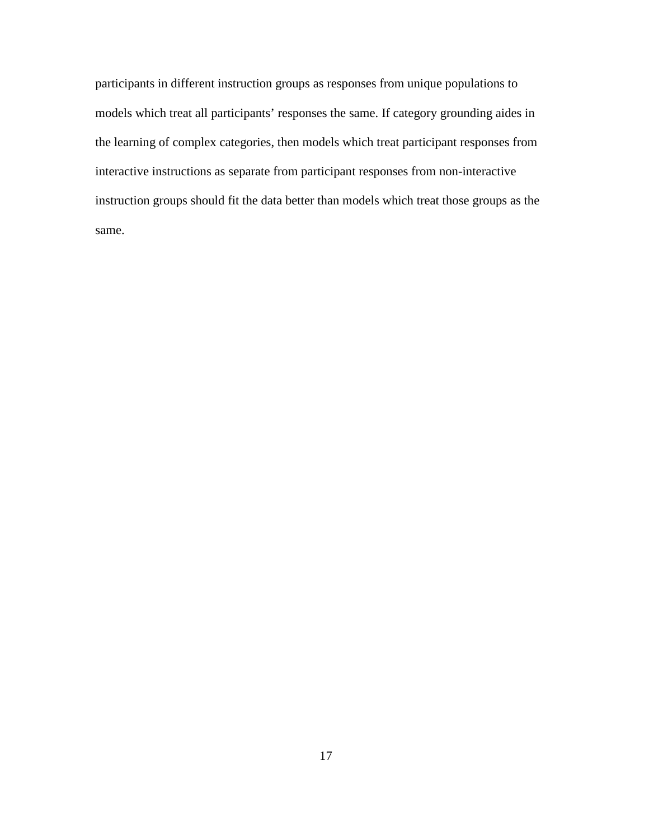participants in different instruction groups as responses from unique populations to models which treat all participants' responses the same. If category grounding aides in the learning of complex categories, then models which treat participant responses from interactive instructions as separate from participant responses from non-interactive instruction groups should fit the data better than models which treat those groups as the same.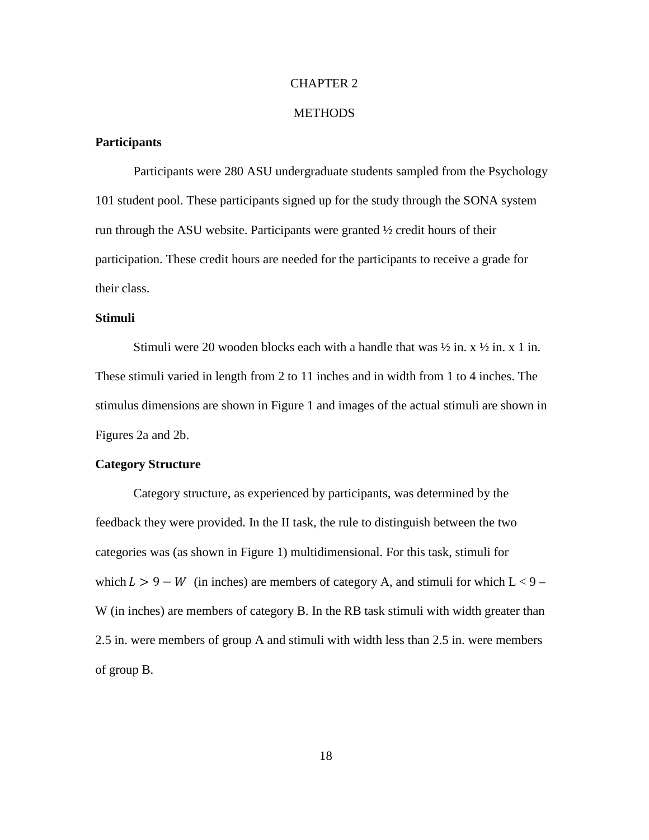## CHAPTER 2

#### **METHODS**

## **Participants**

Participants were 280 ASU undergraduate students sampled from the Psychology 101 student pool. These participants signed up for the study through the SONA system run through the ASU website. Participants were granted ½ credit hours of their participation. These credit hours are needed for the participants to receive a grade for their class.

## **Stimuli**

Stimuli were 20 wooden blocks each with a handle that was  $\frac{1}{2}$  in. x  $\frac{1}{2}$  in. x 1 in. These stimuli varied in length from 2 to 11 inches and in width from 1 to 4 inches. The stimulus dimensions are shown in Figure 1 and images of the actual stimuli are shown in Figures 2a and 2b.

## **Category Structure**

Category structure, as experienced by participants, was determined by the feedback they were provided. In the II task, the rule to distinguish between the two categories was (as shown in Figure 1) multidimensional. For this task, stimuli for which  $L > 9 - W$  (in inches) are members of category A, and stimuli for which  $L < 9 - W$ W (in inches) are members of category B. In the RB task stimuli with width greater than 2.5 in. were members of group A and stimuli with width less than 2.5 in. were members of group B.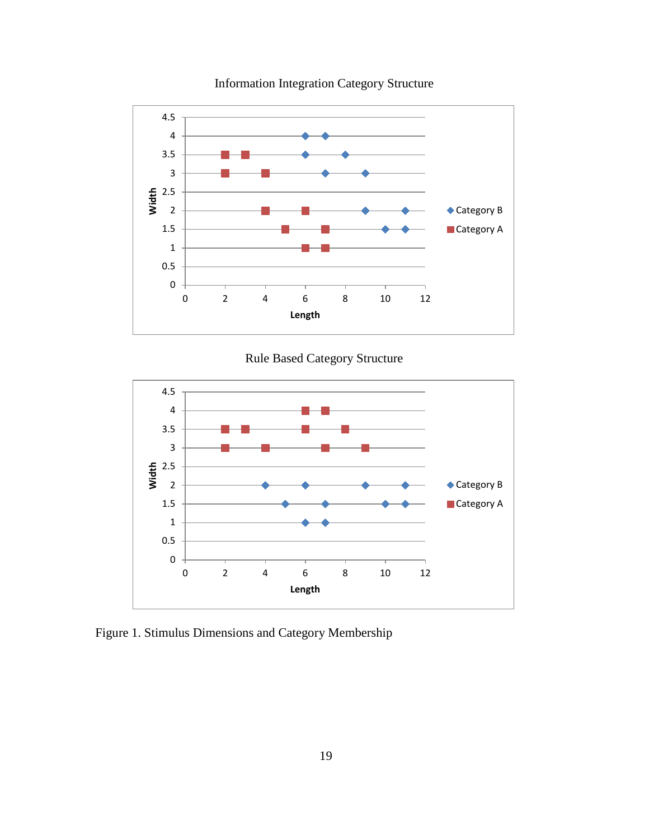

Information Integration Category Structure





Figure 1. Stimulus Dimensions and Category Membership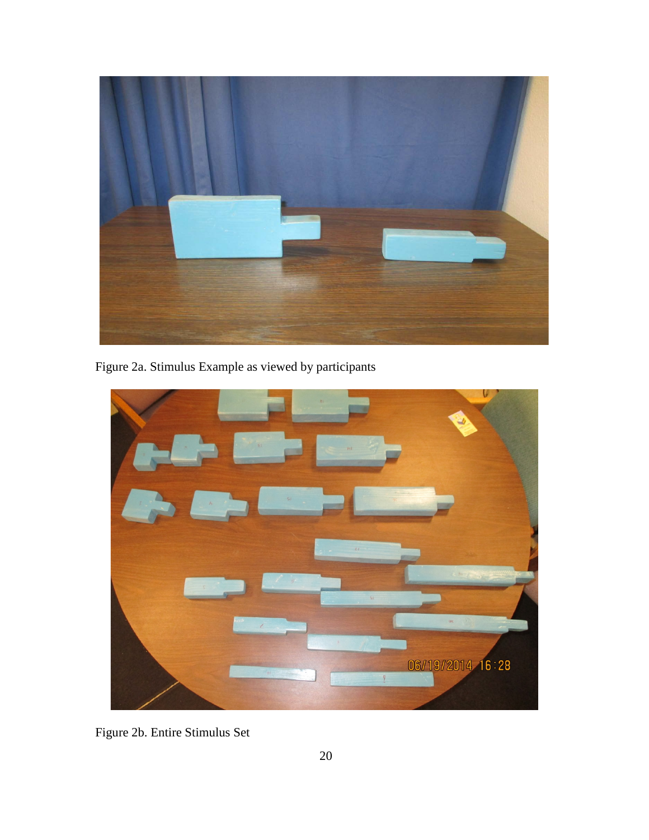

Figure 2a. Stimulus Example as viewed by participants



Figure 2b. Entire Stimulus Set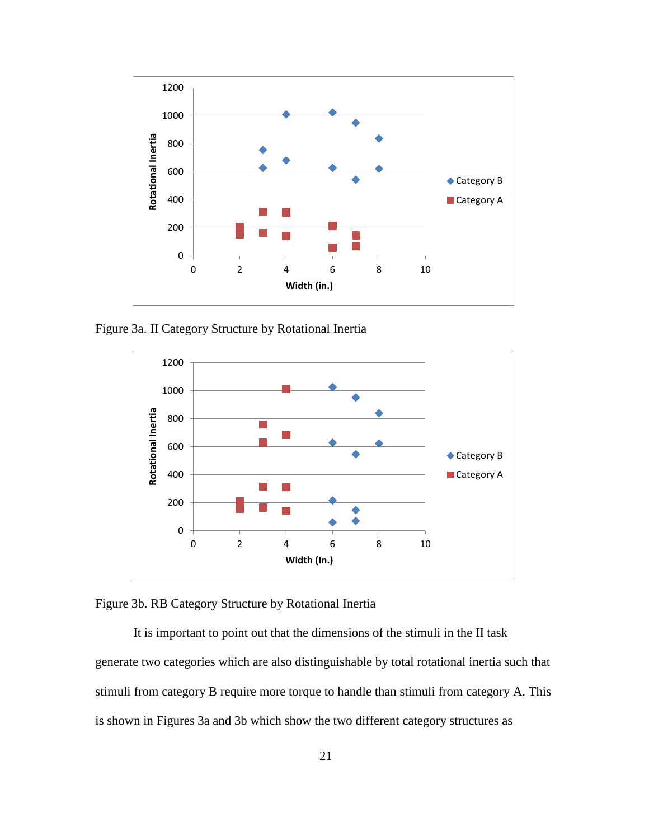

Figure 3a. II Category Structure by Rotational Inertia



Figure 3b. RB Category Structure by Rotational Inertia

It is important to point out that the dimensions of the stimuli in the II task generate two categories which are also distinguishable by total rotational inertia such that stimuli from category B require more torque to handle than stimuli from category A. This is shown in Figures 3a and 3b which show the two different category structures as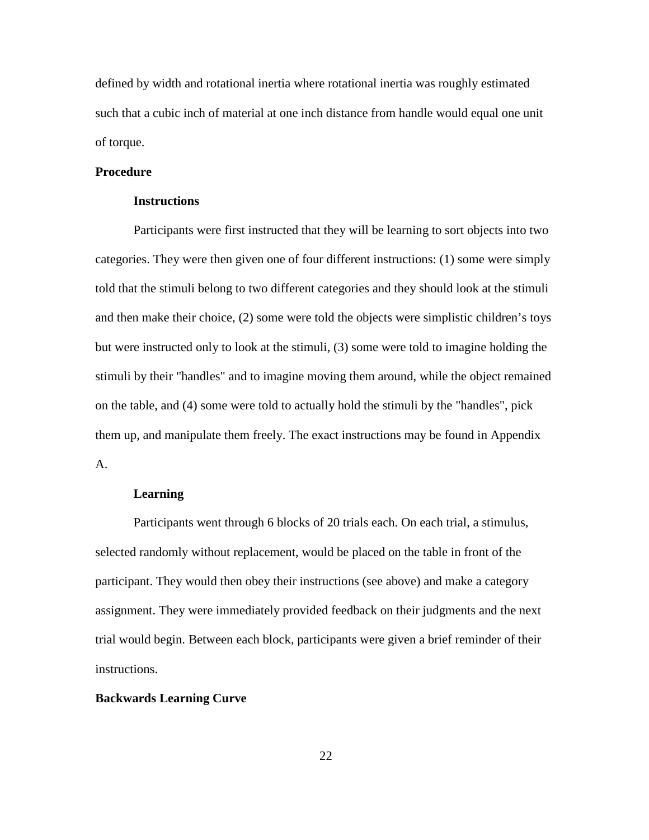defined by width and rotational inertia where rotational inertia was roughly estimated such that a cubic inch of material at one inch distance from handle would equal one unit of torque.

## **Procedure**

#### **Instructions**

Participants were first instructed that they will be learning to sort objects into two categories. They were then given one of four different instructions: (1) some were simply told that the stimuli belong to two different categories and they should look at the stimuli and then make their choice, (2) some were told the objects were simplistic children's toys but were instructed only to look at the stimuli, (3) some were told to imagine holding the stimuli by their "handles" and to imagine moving them around, while the object remained on the table, and (4) some were told to actually hold the stimuli by the "handles", pick them up, and manipulate them freely. The exact instructions may be found in Appendix A.

## **Learning**

Participants went through 6 blocks of 20 trials each. On each trial, a stimulus, selected randomly without replacement, would be placed on the table in front of the participant. They would then obey their instructions (see above) and make a category assignment. They were immediately provided feedback on their judgments and the next trial would begin. Between each block, participants were given a brief reminder of their instructions.

#### **Backwards Learning Curve**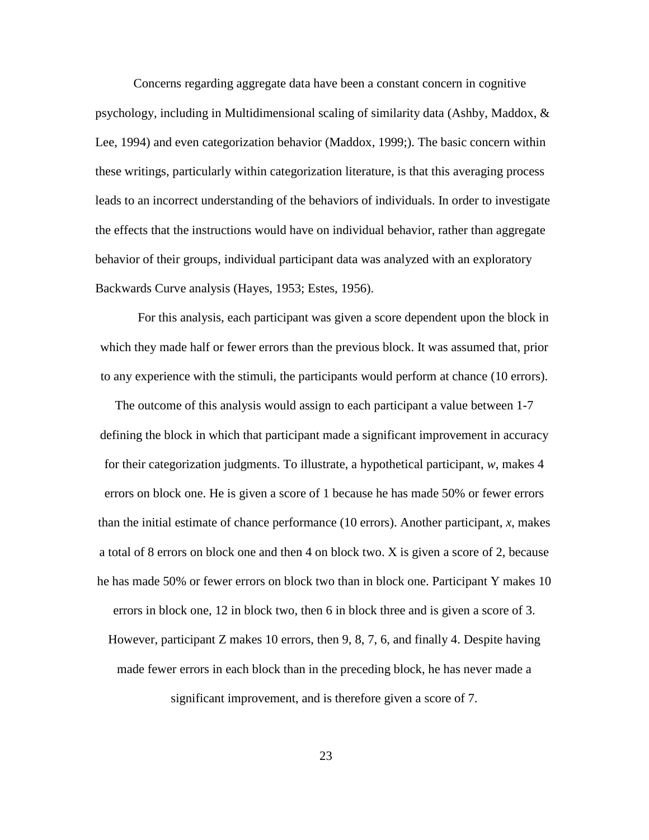Concerns regarding aggregate data have been a constant concern in cognitive psychology, including in Multidimensional scaling of similarity data (Ashby, Maddox, & Lee, 1994) and even categorization behavior (Maddox, 1999;). The basic concern within these writings, particularly within categorization literature, is that this averaging process leads to an incorrect understanding of the behaviors of individuals. In order to investigate the effects that the instructions would have on individual behavior, rather than aggregate behavior of their groups, individual participant data was analyzed with an exploratory Backwards Curve analysis (Hayes, 1953; Estes, 1956).

For this analysis, each participant was given a score dependent upon the block in which they made half or fewer errors than the previous block. It was assumed that, prior to any experience with the stimuli, the participants would perform at chance (10 errors).

The outcome of this analysis would assign to each participant a value between 1-7 defining the block in which that participant made a significant improvement in accuracy for their categorization judgments. To illustrate, a hypothetical participant, *w*, makes 4 errors on block one. He is given a score of 1 because he has made 50% or fewer errors than the initial estimate of chance performance (10 errors). Another participant, *x*, makes a total of 8 errors on block one and then 4 on block two. X is given a score of 2, because he has made 50% or fewer errors on block two than in block one. Participant Y makes 10 errors in block one, 12 in block two, then 6 in block three and is given a score of 3. However, participant Z makes 10 errors, then 9, 8, 7, 6, and finally 4. Despite having made fewer errors in each block than in the preceding block, he has never made a

significant improvement, and is therefore given a score of 7.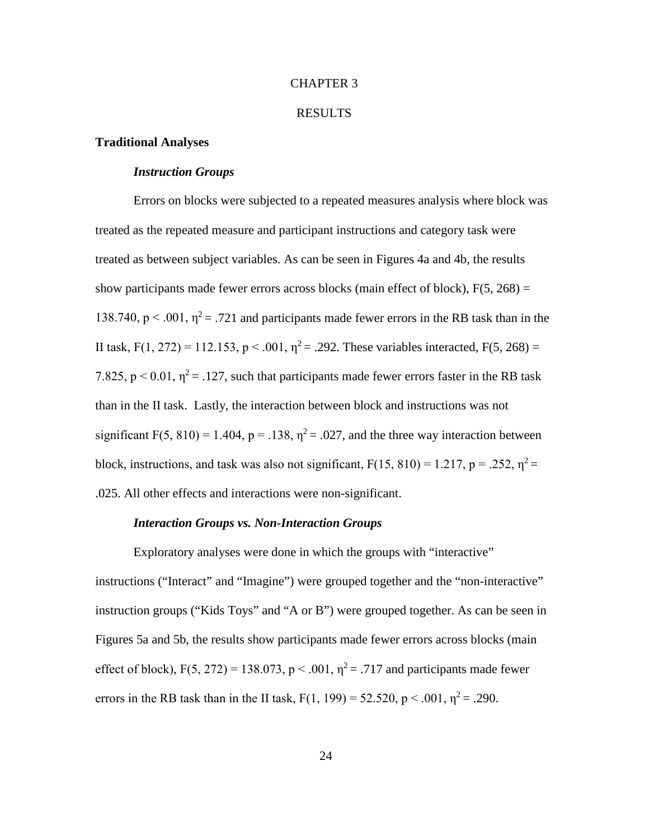#### CHAPTER 3

#### RESULTS

### **Traditional Analyses**

## *Instruction Groups*

Errors on blocks were subjected to a repeated measures analysis where block was treated as the repeated measure and participant instructions and category task were treated as between subject variables. As can be seen in Figures 4a and 4b, the results show participants made fewer errors across blocks (main effect of block),  $F(5, 268) =$ 138.740,  $p < .001$ ,  $\eta^2 = .721$  and participants made fewer errors in the RB task than in the II task, F(1, 272) = 112.153, p < .001,  $\eta^2$  = .292. These variables interacted, F(5, 268) = 7.825,  $p < 0.01$ ,  $\eta^2 = .127$ , such that participants made fewer errors faster in the RB task than in the II task. Lastly, the interaction between block and instructions was not significant F(5, 810) = 1.404, p = .138,  $\eta^2$  = .027, and the three way interaction between block, instructions, and task was also not significant,  $F(15, 810) = 1.217$ ,  $p = .252$ ,  $\eta^2 =$ .025. All other effects and interactions were non-significant.

#### *Interaction Groups vs. Non-Interaction Groups*

Exploratory analyses were done in which the groups with "interactive" instructions ("Interact" and "Imagine") were grouped together and the "non-interactive" instruction groups ("Kids Toys" and "A or B") were grouped together. As can be seen in Figures 5a and 5b, the results show participants made fewer errors across blocks (main effect of block),  $F(5, 272) = 138.073$ ,  $p < .001$ ,  $\eta^2 = .717$  and participants made fewer errors in the RB task than in the II task,  $F(1, 199) = 52.520$ ,  $p < .001$ ,  $\eta^2 = .290$ .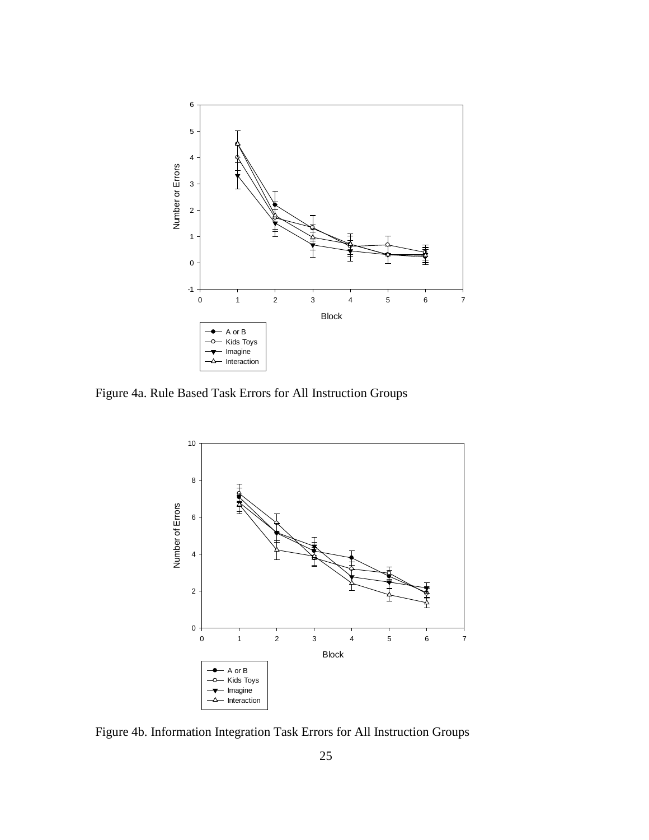

Figure 4a. Rule Based Task Errors for All Instruction Groups



Figure 4b. Information Integration Task Errors for All Instruction Groups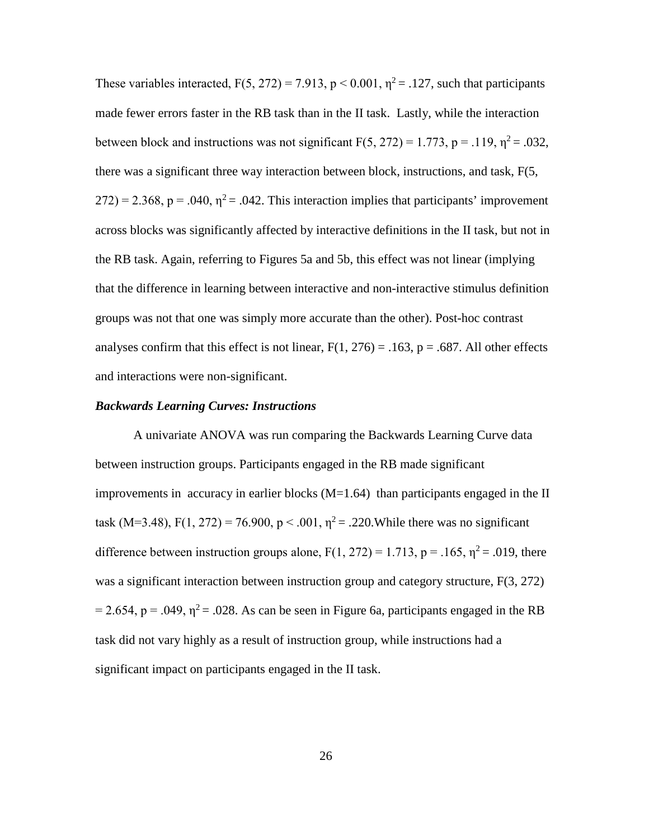These variables interacted,  $F(5, 272) = 7.913$ ,  $p < 0.001$ ,  $\eta^2 = .127$ , such that participants made fewer errors faster in the RB task than in the II task. Lastly, while the interaction between block and instructions was not significant  $F(5, 272) = 1.773$ ,  $p = .119$ ,  $\eta^2 = .032$ , there was a significant three way interaction between block, instructions, and task, F(5,  $272$ ) = 2.368, p = .040,  $\eta^2$  = .042. This interaction implies that participants' improvement across blocks was significantly affected by interactive definitions in the II task, but not in the RB task. Again, referring to Figures 5a and 5b, this effect was not linear (implying that the difference in learning between interactive and non-interactive stimulus definition groups was not that one was simply more accurate than the other). Post-hoc contrast analyses confirm that this effect is not linear,  $F(1, 276) = .163$ ,  $p = .687$ . All other effects and interactions were non-significant.

#### *Backwards Learning Curves: Instructions*

A univariate ANOVA was run comparing the Backwards Learning Curve data between instruction groups. Participants engaged in the RB made significant improvements in accuracy in earlier blocks  $(M=1.64)$  than participants engaged in the II task (M=3.48), F(1, 272) = 76.900, p < .001,  $\eta^2$  = .220. While there was no significant difference between instruction groups alone,  $F(1, 272) = 1.713$ ,  $p = .165$ ,  $\eta^2 = .019$ , there was a significant interaction between instruction group and category structure,  $F(3, 272)$  $= 2.654$ , p = .049,  $\eta^2 = .028$ . As can be seen in Figure 6a, participants engaged in the RB task did not vary highly as a result of instruction group, while instructions had a significant impact on participants engaged in the II task.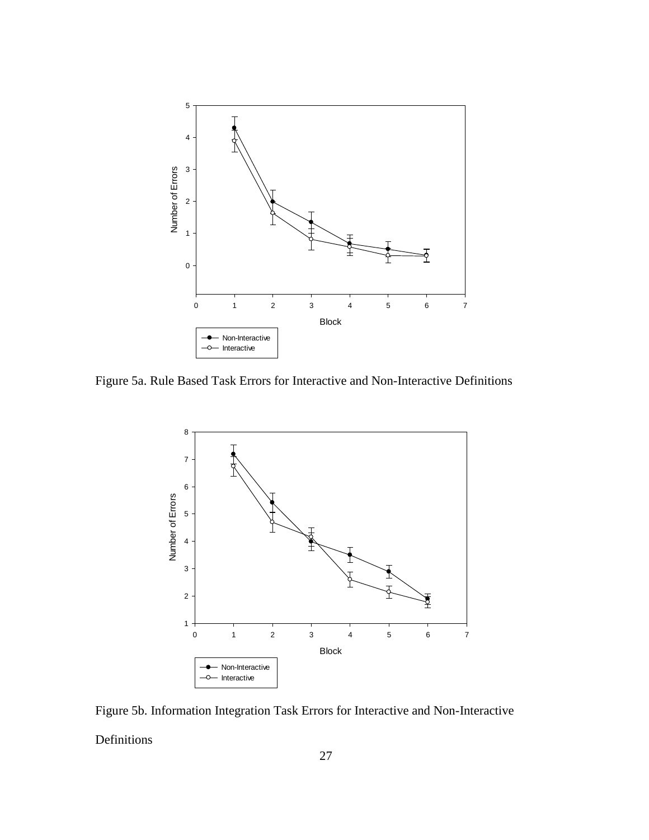

Figure 5a. Rule Based Task Errors for Interactive and Non-Interactive Definitions



Figure 5b. Information Integration Task Errors for Interactive and Non-Interactive Definitions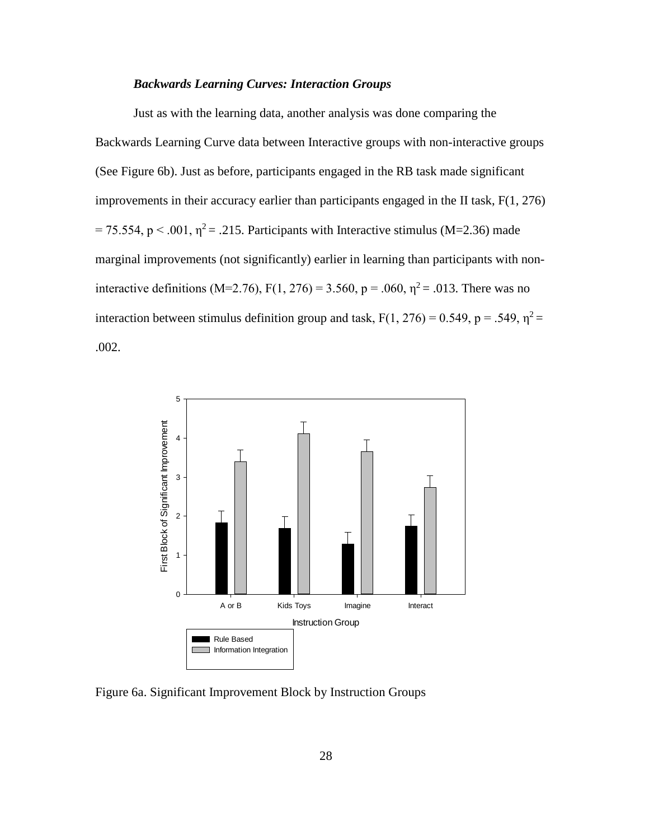## *Backwards Learning Curves: Interaction Groups*

Just as with the learning data, another analysis was done comparing the Backwards Learning Curve data between Interactive groups with non-interactive groups (See Figure 6b). Just as before, participants engaged in the RB task made significant improvements in their accuracy earlier than participants engaged in the II task, F(1, 276) = 75.554, p < .001,  $\eta^2$  = .215. Participants with Interactive stimulus (M=2.36) made marginal improvements (not significantly) earlier in learning than participants with noninteractive definitions (M=2.76), F(1, 276) = 3.560, p = .060,  $\eta^2$  = .013. There was no interaction between stimulus definition group and task,  $F(1, 276) = 0.549$ ,  $p = .549$ ,  $\eta^2 =$ .002.



Figure 6a. Significant Improvement Block by Instruction Groups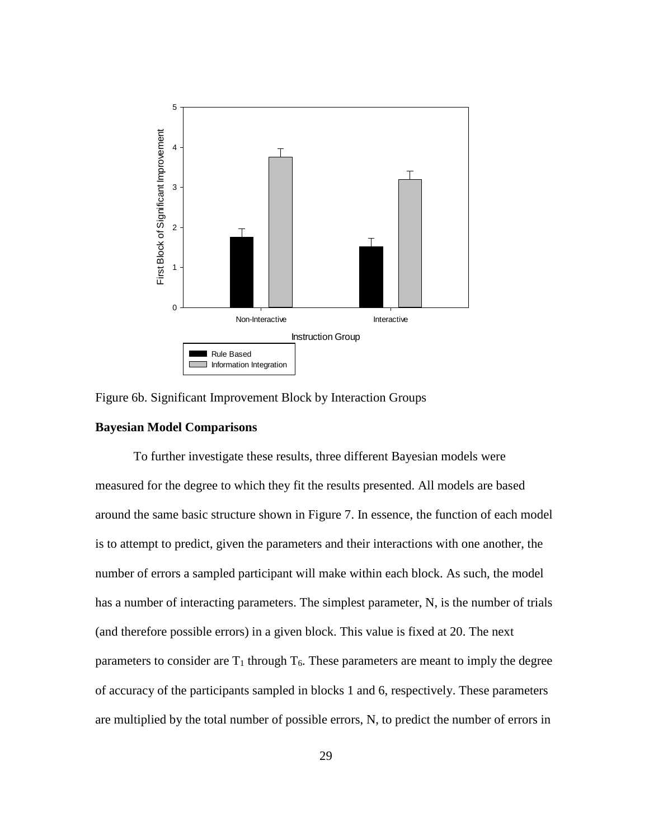

Figure 6b. Significant Improvement Block by Interaction Groups

## **Bayesian Model Comparisons**

To further investigate these results, three different Bayesian models were measured for the degree to which they fit the results presented. All models are based around the same basic structure shown in Figure 7. In essence, the function of each model is to attempt to predict, given the parameters and their interactions with one another, the number of errors a sampled participant will make within each block. As such, the model has a number of interacting parameters. The simplest parameter, N, is the number of trials (and therefore possible errors) in a given block. This value is fixed at 20. The next parameters to consider are  $T_1$  through  $T_6$ . These parameters are meant to imply the degree of accuracy of the participants sampled in blocks 1 and 6, respectively. These parameters are multiplied by the total number of possible errors, N, to predict the number of errors in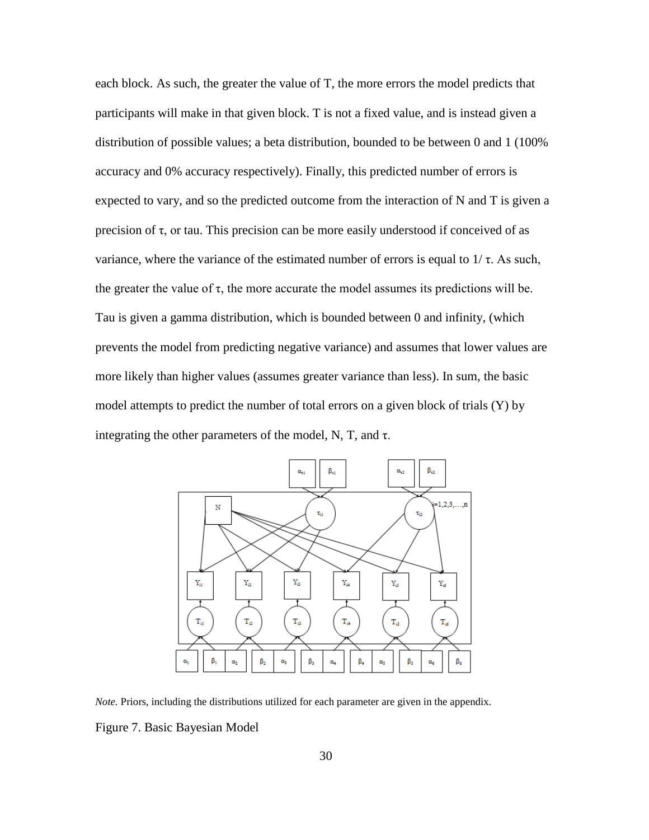each block. As such, the greater the value of T, the more errors the model predicts that participants will make in that given block. T is not a fixed value, and is instead given a distribution of possible values; a beta distribution, bounded to be between 0 and 1 (100% accuracy and 0% accuracy respectively). Finally, this predicted number of errors is expected to vary, and so the predicted outcome from the interaction of  $N$  and  $T$  is given a precision of τ, or tau. This precision can be more easily understood if conceived of as variance, where the variance of the estimated number of errors is equal to  $1/\tau$ . As such, the greater the value of  $\tau$ , the more accurate the model assumes its predictions will be. Tau is given a gamma distribution, which is bounded between 0 and infinity, (which prevents the model from predicting negative variance) and assumes that lower values are more likely than higher values (assumes greater variance than less). In sum, the basic model attempts to predict the number of total errors on a given block of trials (Y) by integrating the other parameters of the model, N, T, and  $\tau$ .



*Note.* Priors, including the distributions utilized for each parameter are given in the appendix.

Figure 7. Basic Bayesian Model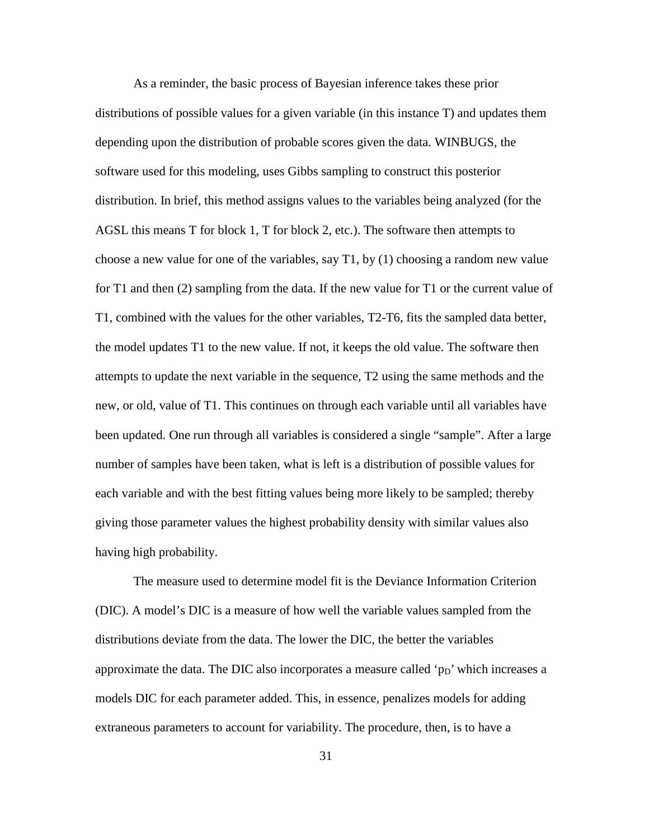As a reminder, the basic process of Bayesian inference takes these prior distributions of possible values for a given variable (in this instance T) and updates them depending upon the distribution of probable scores given the data. WINBUGS, the software used for this modeling, uses Gibbs sampling to construct this posterior distribution. In brief, this method assigns values to the variables being analyzed (for the AGSL this means T for block 1, T for block 2, etc.). The software then attempts to choose a new value for one of the variables, say T1, by (1) choosing a random new value for T1 and then (2) sampling from the data. If the new value for T1 or the current value of T1, combined with the values for the other variables, T2-T6, fits the sampled data better, the model updates T1 to the new value. If not, it keeps the old value. The software then attempts to update the next variable in the sequence, T2 using the same methods and the new, or old, value of T1. This continues on through each variable until all variables have been updated. One run through all variables is considered a single "sample". After a large number of samples have been taken, what is left is a distribution of possible values for each variable and with the best fitting values being more likely to be sampled; thereby giving those parameter values the highest probability density with similar values also having high probability.

The measure used to determine model fit is the Deviance Information Criterion (DIC). A model's DIC is a measure of how well the variable values sampled from the distributions deviate from the data. The lower the DIC, the better the variables approximate the data. The DIC also incorporates a measure called ' $p<sub>D</sub>$ ' which increases a models DIC for each parameter added. This, in essence, penalizes models for adding extraneous parameters to account for variability. The procedure, then, is to have a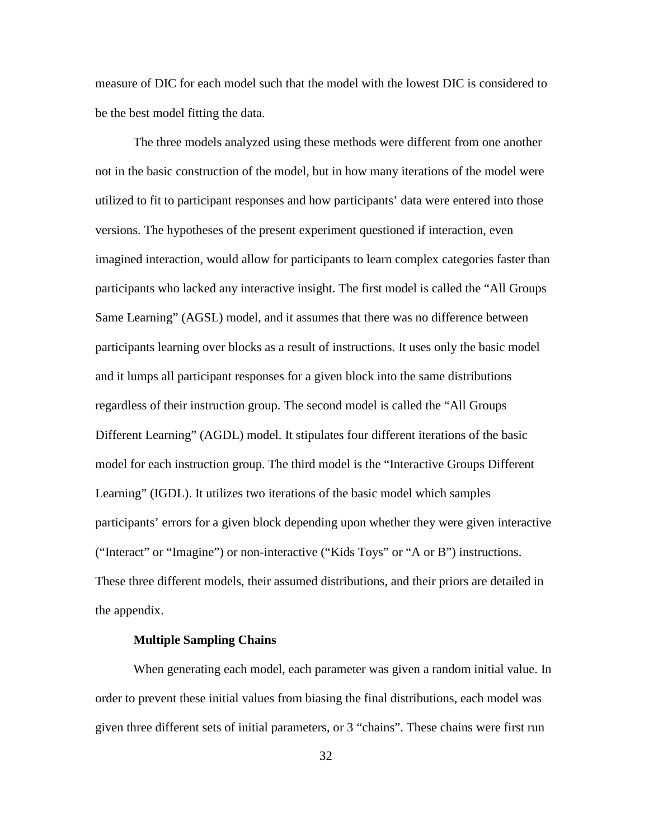measure of DIC for each model such that the model with the lowest DIC is considered to be the best model fitting the data.

The three models analyzed using these methods were different from one another not in the basic construction of the model, but in how many iterations of the model were utilized to fit to participant responses and how participants' data were entered into those versions. The hypotheses of the present experiment questioned if interaction, even imagined interaction, would allow for participants to learn complex categories faster than participants who lacked any interactive insight. The first model is called the "All Groups Same Learning" (AGSL) model, and it assumes that there was no difference between participants learning over blocks as a result of instructions. It uses only the basic model and it lumps all participant responses for a given block into the same distributions regardless of their instruction group. The second model is called the "All Groups Different Learning" (AGDL) model. It stipulates four different iterations of the basic model for each instruction group. The third model is the "Interactive Groups Different Learning" (IGDL). It utilizes two iterations of the basic model which samples participants' errors for a given block depending upon whether they were given interactive ("Interact" or "Imagine") or non-interactive ("Kids Toys" or "A or B") instructions. These three different models, their assumed distributions, and their priors are detailed in the appendix.

## **Multiple Sampling Chains**

When generating each model, each parameter was given a random initial value. In order to prevent these initial values from biasing the final distributions, each model was given three different sets of initial parameters, or 3 "chains". These chains were first run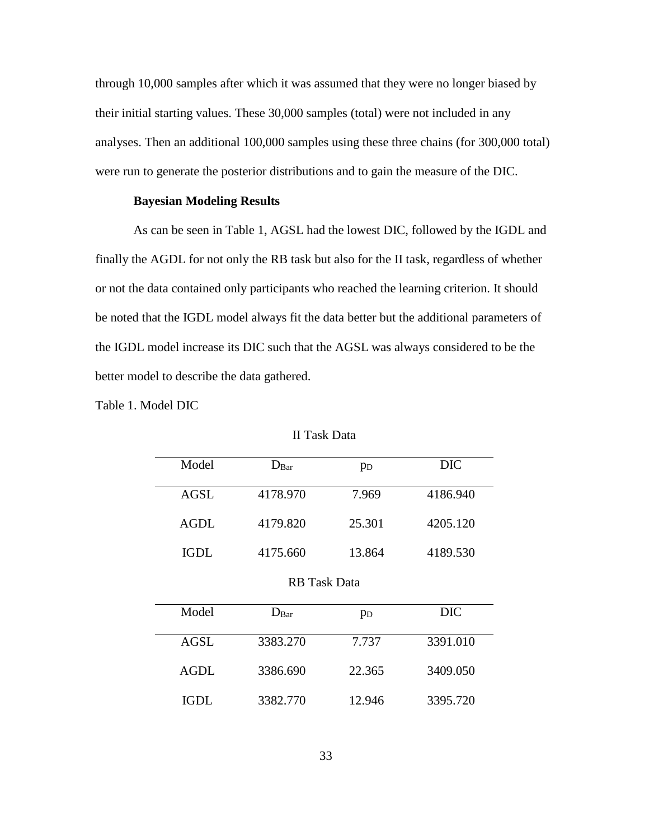through 10,000 samples after which it was assumed that they were no longer biased by their initial starting values. These 30,000 samples (total) were not included in any analyses. Then an additional 100,000 samples using these three chains (for 300,000 total) were run to generate the posterior distributions and to gain the measure of the DIC.

### **Bayesian Modeling Results**

As can be seen in Table 1, AGSL had the lowest DIC, followed by the IGDL and finally the AGDL for not only the RB task but also for the II task, regardless of whether or not the data contained only participants who reached the learning criterion. It should be noted that the IGDL model always fit the data better but the additional parameters of the IGDL model increase its DIC such that the AGSL was always considered to be the better model to describe the data gathered.

Table 1. Model DIC

| Model       | D <sub>Bar</sub>    | p <sub>D</sub> | <b>DIC</b> |
|-------------|---------------------|----------------|------------|
| <b>AGSL</b> | 4178.970            | 7.969          | 4186.940   |
| <b>AGDL</b> | 4179.820            | 25.301         | 4205.120   |
| <b>IGDL</b> | 4175.660            | 13.864         | 4189.530   |
|             | <b>RB</b> Task Data |                |            |
| Model       | $D_{Bar}$           | p <sub>D</sub> | <b>DIC</b> |
| AGSL        | 3383.270            | 7.737          | 3391.010   |
| <b>AGDL</b> | 3386.690            | 22.365         | 3409.050   |
| IGDL        | 3382.770            | 12.946         | 3395.720   |

II Task Data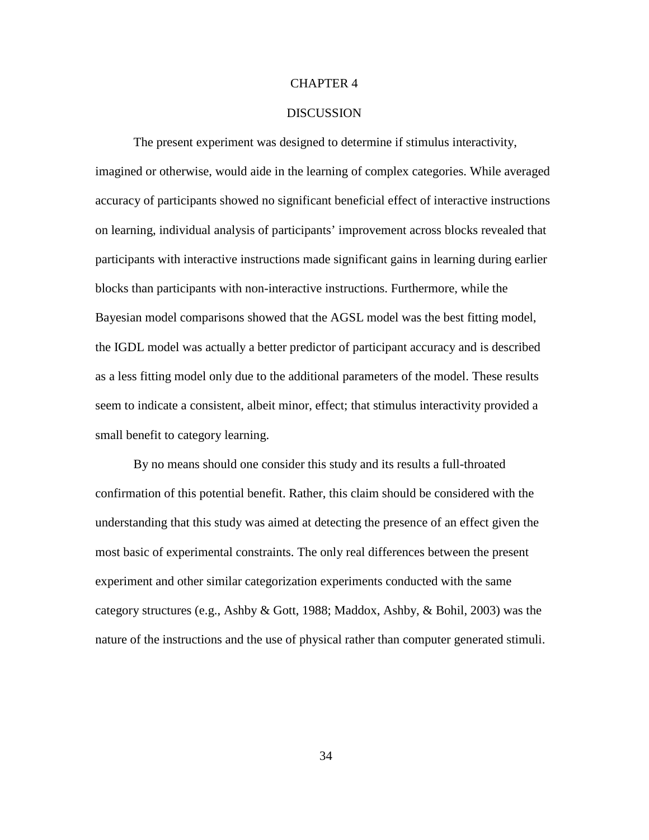## CHAPTER 4

## **DISCUSSION**

The present experiment was designed to determine if stimulus interactivity, imagined or otherwise, would aide in the learning of complex categories. While averaged accuracy of participants showed no significant beneficial effect of interactive instructions on learning, individual analysis of participants' improvement across blocks revealed that participants with interactive instructions made significant gains in learning during earlier blocks than participants with non-interactive instructions. Furthermore, while the Bayesian model comparisons showed that the AGSL model was the best fitting model, the IGDL model was actually a better predictor of participant accuracy and is described as a less fitting model only due to the additional parameters of the model. These results seem to indicate a consistent, albeit minor, effect; that stimulus interactivity provided a small benefit to category learning.

By no means should one consider this study and its results a full-throated confirmation of this potential benefit. Rather, this claim should be considered with the understanding that this study was aimed at detecting the presence of an effect given the most basic of experimental constraints. The only real differences between the present experiment and other similar categorization experiments conducted with the same category structures (e.g., Ashby & Gott, 1988; Maddox, Ashby, & Bohil, 2003) was the nature of the instructions and the use of physical rather than computer generated stimuli.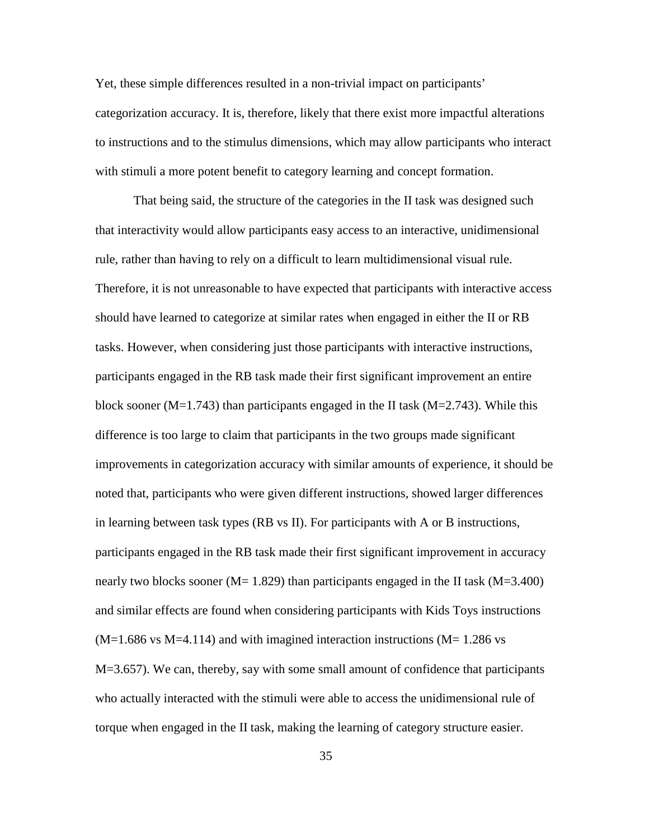Yet, these simple differences resulted in a non-trivial impact on participants' categorization accuracy. It is, therefore, likely that there exist more impactful alterations to instructions and to the stimulus dimensions, which may allow participants who interact with stimuli a more potent benefit to category learning and concept formation.

That being said, the structure of the categories in the II task was designed such that interactivity would allow participants easy access to an interactive, unidimensional rule, rather than having to rely on a difficult to learn multidimensional visual rule. Therefore, it is not unreasonable to have expected that participants with interactive access should have learned to categorize at similar rates when engaged in either the II or RB tasks. However, when considering just those participants with interactive instructions, participants engaged in the RB task made their first significant improvement an entire block sooner ( $M=1.743$ ) than participants engaged in the II task ( $M=2.743$ ). While this difference is too large to claim that participants in the two groups made significant improvements in categorization accuracy with similar amounts of experience, it should be noted that, participants who were given different instructions, showed larger differences in learning between task types (RB vs II). For participants with A or B instructions, participants engaged in the RB task made their first significant improvement in accuracy nearly two blocks sooner ( $M=1.829$ ) than participants engaged in the II task ( $M=3.400$ ) and similar effects are found when considering participants with Kids Toys instructions  $(M=1.686 \text{ vs } M=4.114)$  and with imagined interaction instructions  $(M=1.286 \text{ vs } M=4.114)$ M=3.657). We can, thereby, say with some small amount of confidence that participants who actually interacted with the stimuli were able to access the unidimensional rule of torque when engaged in the II task, making the learning of category structure easier.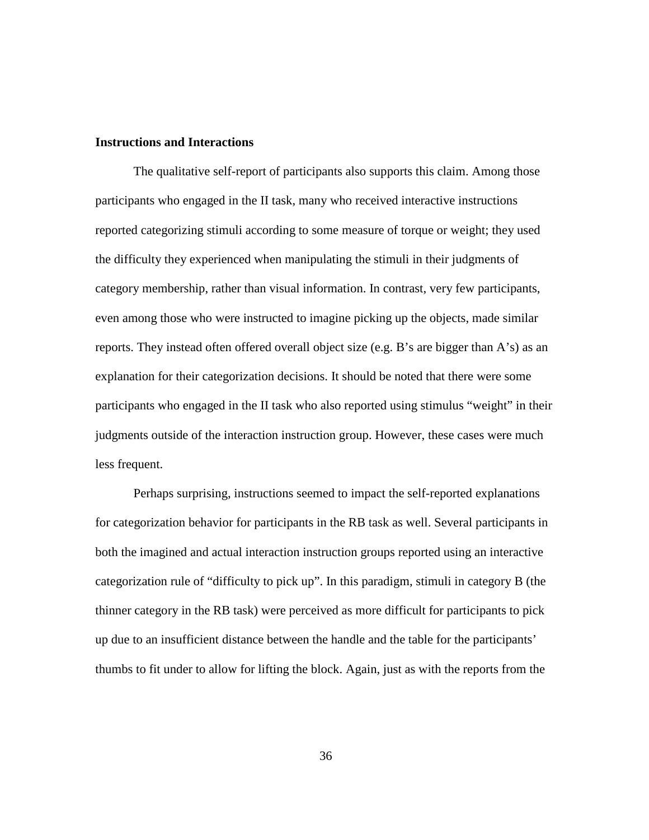## **Instructions and Interactions**

The qualitative self-report of participants also supports this claim. Among those participants who engaged in the II task, many who received interactive instructions reported categorizing stimuli according to some measure of torque or weight; they used the difficulty they experienced when manipulating the stimuli in their judgments of category membership, rather than visual information. In contrast, very few participants, even among those who were instructed to imagine picking up the objects, made similar reports. They instead often offered overall object size (e.g. B's are bigger than A's) as an explanation for their categorization decisions. It should be noted that there were some participants who engaged in the II task who also reported using stimulus "weight" in their judgments outside of the interaction instruction group. However, these cases were much less frequent.

Perhaps surprising, instructions seemed to impact the self-reported explanations for categorization behavior for participants in the RB task as well. Several participants in both the imagined and actual interaction instruction groups reported using an interactive categorization rule of "difficulty to pick up". In this paradigm, stimuli in category B (the thinner category in the RB task) were perceived as more difficult for participants to pick up due to an insufficient distance between the handle and the table for the participants' thumbs to fit under to allow for lifting the block. Again, just as with the reports from the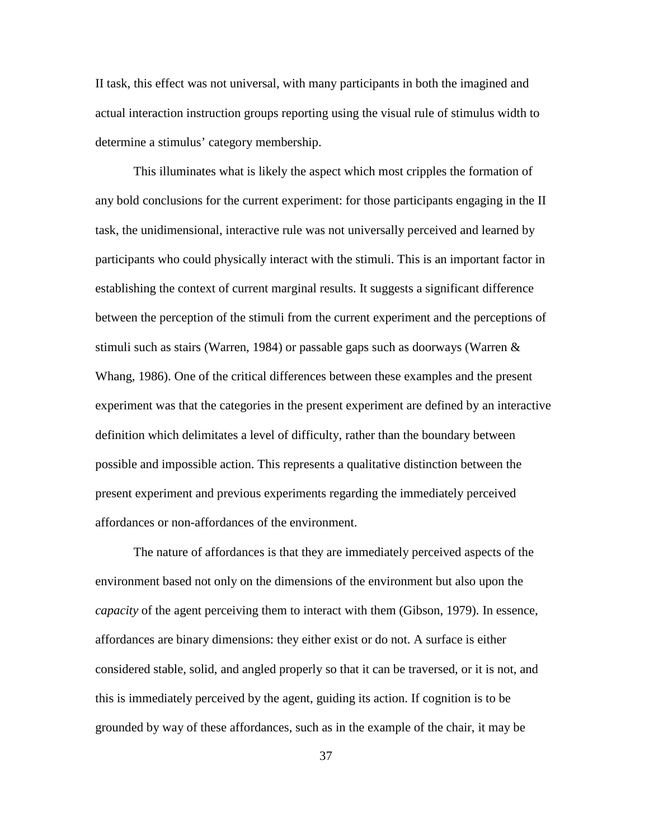II task, this effect was not universal, with many participants in both the imagined and actual interaction instruction groups reporting using the visual rule of stimulus width to determine a stimulus' category membership.

This illuminates what is likely the aspect which most cripples the formation of any bold conclusions for the current experiment: for those participants engaging in the II task, the unidimensional, interactive rule was not universally perceived and learned by participants who could physically interact with the stimuli. This is an important factor in establishing the context of current marginal results. It suggests a significant difference between the perception of the stimuli from the current experiment and the perceptions of stimuli such as stairs (Warren, 1984) or passable gaps such as doorways (Warren & Whang, 1986). One of the critical differences between these examples and the present experiment was that the categories in the present experiment are defined by an interactive definition which delimitates a level of difficulty, rather than the boundary between possible and impossible action. This represents a qualitative distinction between the present experiment and previous experiments regarding the immediately perceived affordances or non-affordances of the environment.

The nature of affordances is that they are immediately perceived aspects of the environment based not only on the dimensions of the environment but also upon the *capacity* of the agent perceiving them to interact with them (Gibson, 1979). In essence, affordances are binary dimensions: they either exist or do not. A surface is either considered stable, solid, and angled properly so that it can be traversed, or it is not, and this is immediately perceived by the agent, guiding its action. If cognition is to be grounded by way of these affordances, such as in the example of the chair, it may be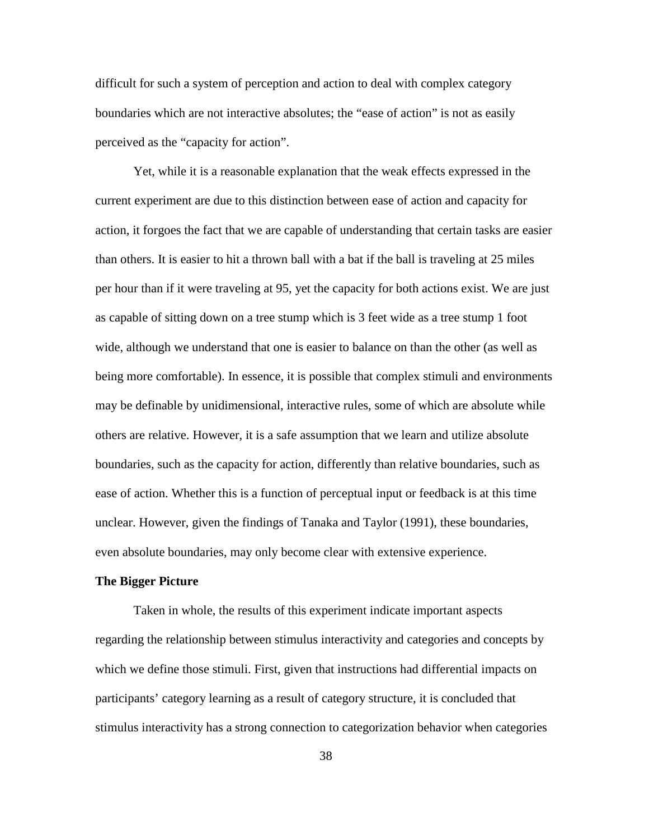difficult for such a system of perception and action to deal with complex category boundaries which are not interactive absolutes; the "ease of action" is not as easily perceived as the "capacity for action".

Yet, while it is a reasonable explanation that the weak effects expressed in the current experiment are due to this distinction between ease of action and capacity for action, it forgoes the fact that we are capable of understanding that certain tasks are easier than others. It is easier to hit a thrown ball with a bat if the ball is traveling at 25 miles per hour than if it were traveling at 95, yet the capacity for both actions exist. We are just as capable of sitting down on a tree stump which is 3 feet wide as a tree stump 1 foot wide, although we understand that one is easier to balance on than the other (as well as being more comfortable). In essence, it is possible that complex stimuli and environments may be definable by unidimensional, interactive rules, some of which are absolute while others are relative. However, it is a safe assumption that we learn and utilize absolute boundaries, such as the capacity for action, differently than relative boundaries, such as ease of action. Whether this is a function of perceptual input or feedback is at this time unclear. However, given the findings of Tanaka and Taylor (1991), these boundaries, even absolute boundaries, may only become clear with extensive experience.

#### **The Bigger Picture**

Taken in whole, the results of this experiment indicate important aspects regarding the relationship between stimulus interactivity and categories and concepts by which we define those stimuli. First, given that instructions had differential impacts on participants' category learning as a result of category structure, it is concluded that stimulus interactivity has a strong connection to categorization behavior when categories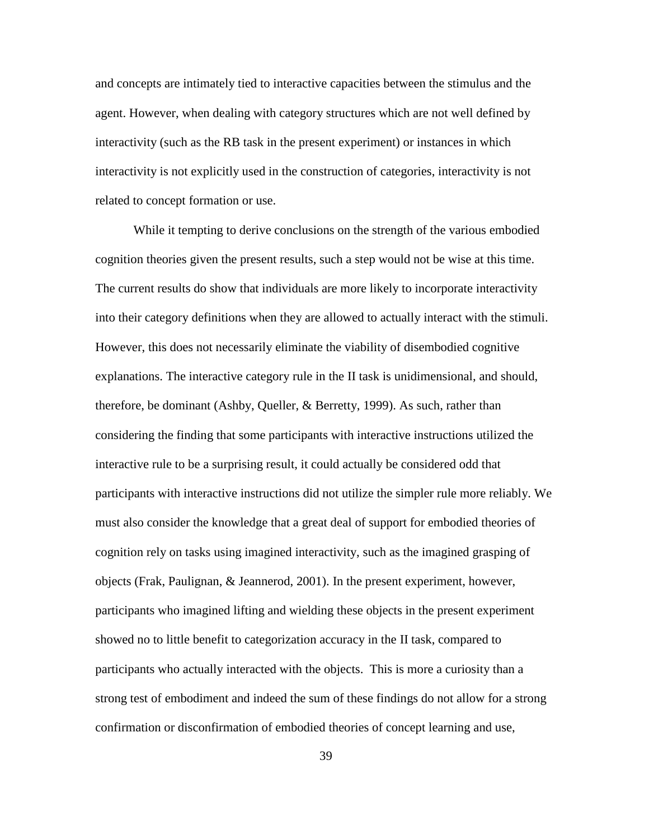and concepts are intimately tied to interactive capacities between the stimulus and the agent. However, when dealing with category structures which are not well defined by interactivity (such as the RB task in the present experiment) or instances in which interactivity is not explicitly used in the construction of categories, interactivity is not related to concept formation or use.

While it tempting to derive conclusions on the strength of the various embodied cognition theories given the present results, such a step would not be wise at this time. The current results do show that individuals are more likely to incorporate interactivity into their category definitions when they are allowed to actually interact with the stimuli. However, this does not necessarily eliminate the viability of disembodied cognitive explanations. The interactive category rule in the II task is unidimensional, and should, therefore, be dominant (Ashby, Queller, & Berretty, 1999). As such, rather than considering the finding that some participants with interactive instructions utilized the interactive rule to be a surprising result, it could actually be considered odd that participants with interactive instructions did not utilize the simpler rule more reliably. We must also consider the knowledge that a great deal of support for embodied theories of cognition rely on tasks using imagined interactivity, such as the imagined grasping of objects (Frak, Paulignan, & Jeannerod, 2001). In the present experiment, however, participants who imagined lifting and wielding these objects in the present experiment showed no to little benefit to categorization accuracy in the II task, compared to participants who actually interacted with the objects. This is more a curiosity than a strong test of embodiment and indeed the sum of these findings do not allow for a strong confirmation or disconfirmation of embodied theories of concept learning and use,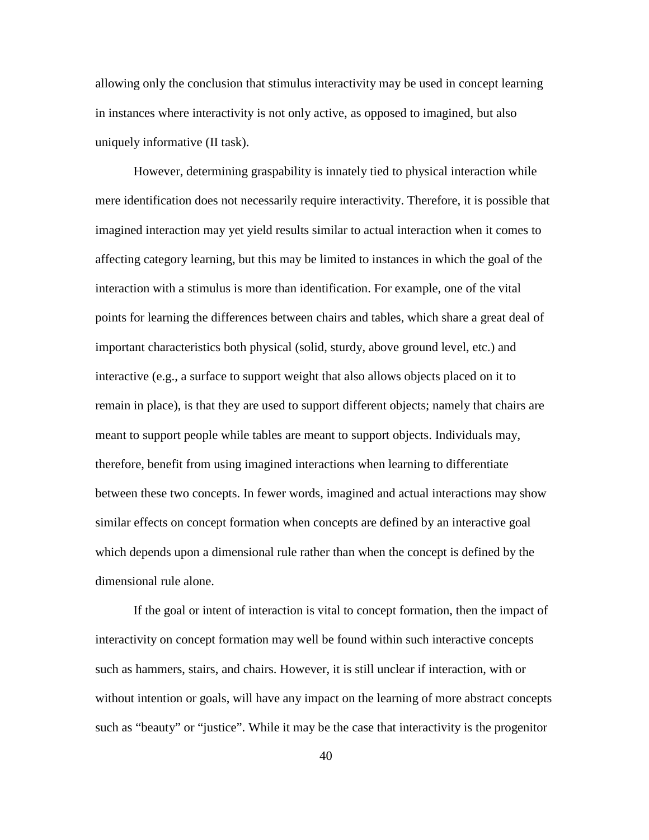allowing only the conclusion that stimulus interactivity may be used in concept learning in instances where interactivity is not only active, as opposed to imagined, but also uniquely informative (II task).

However, determining graspability is innately tied to physical interaction while mere identification does not necessarily require interactivity. Therefore, it is possible that imagined interaction may yet yield results similar to actual interaction when it comes to affecting category learning, but this may be limited to instances in which the goal of the interaction with a stimulus is more than identification. For example, one of the vital points for learning the differences between chairs and tables, which share a great deal of important characteristics both physical (solid, sturdy, above ground level, etc.) and interactive (e.g., a surface to support weight that also allows objects placed on it to remain in place), is that they are used to support different objects; namely that chairs are meant to support people while tables are meant to support objects. Individuals may, therefore, benefit from using imagined interactions when learning to differentiate between these two concepts. In fewer words, imagined and actual interactions may show similar effects on concept formation when concepts are defined by an interactive goal which depends upon a dimensional rule rather than when the concept is defined by the dimensional rule alone.

If the goal or intent of interaction is vital to concept formation, then the impact of interactivity on concept formation may well be found within such interactive concepts such as hammers, stairs, and chairs. However, it is still unclear if interaction, with or without intention or goals, will have any impact on the learning of more abstract concepts such as "beauty" or "justice". While it may be the case that interactivity is the progenitor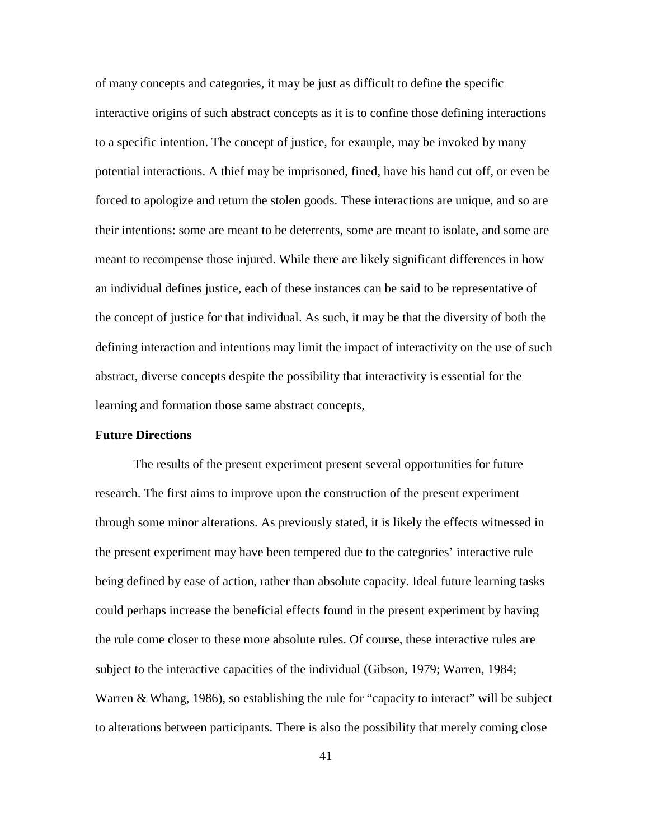of many concepts and categories, it may be just as difficult to define the specific interactive origins of such abstract concepts as it is to confine those defining interactions to a specific intention. The concept of justice, for example, may be invoked by many potential interactions. A thief may be imprisoned, fined, have his hand cut off, or even be forced to apologize and return the stolen goods. These interactions are unique, and so are their intentions: some are meant to be deterrents, some are meant to isolate, and some are meant to recompense those injured. While there are likely significant differences in how an individual defines justice, each of these instances can be said to be representative of the concept of justice for that individual. As such, it may be that the diversity of both the defining interaction and intentions may limit the impact of interactivity on the use of such abstract, diverse concepts despite the possibility that interactivity is essential for the learning and formation those same abstract concepts,

## **Future Directions**

The results of the present experiment present several opportunities for future research. The first aims to improve upon the construction of the present experiment through some minor alterations. As previously stated, it is likely the effects witnessed in the present experiment may have been tempered due to the categories' interactive rule being defined by ease of action, rather than absolute capacity. Ideal future learning tasks could perhaps increase the beneficial effects found in the present experiment by having the rule come closer to these more absolute rules. Of course, these interactive rules are subject to the interactive capacities of the individual (Gibson, 1979; Warren, 1984; Warren & Whang, 1986), so establishing the rule for "capacity to interact" will be subject to alterations between participants. There is also the possibility that merely coming close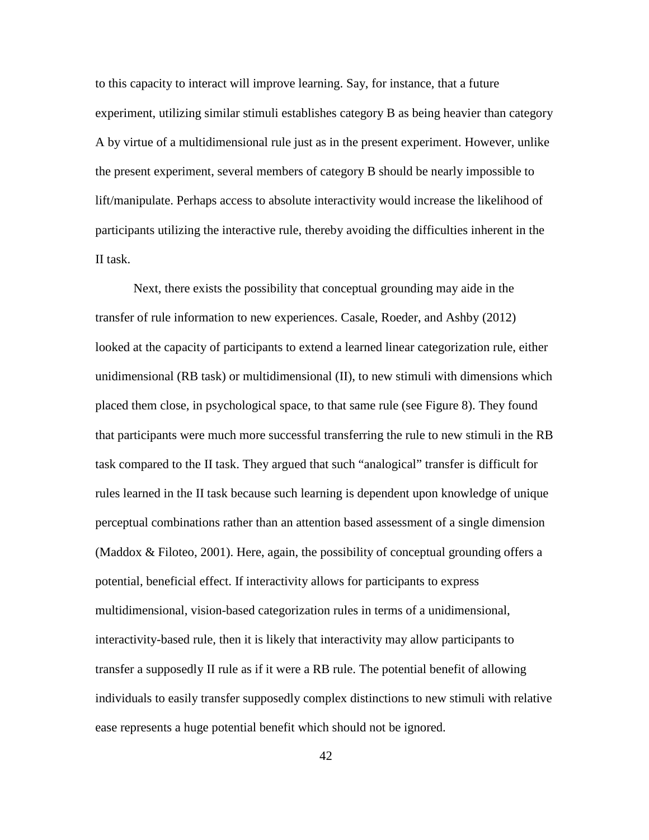to this capacity to interact will improve learning. Say, for instance, that a future experiment, utilizing similar stimuli establishes category B as being heavier than category A by virtue of a multidimensional rule just as in the present experiment. However, unlike the present experiment, several members of category B should be nearly impossible to lift/manipulate. Perhaps access to absolute interactivity would increase the likelihood of participants utilizing the interactive rule, thereby avoiding the difficulties inherent in the II task.

Next, there exists the possibility that conceptual grounding may aide in the transfer of rule information to new experiences. Casale, Roeder, and Ashby (2012) looked at the capacity of participants to extend a learned linear categorization rule, either unidimensional (RB task) or multidimensional (II), to new stimuli with dimensions which placed them close, in psychological space, to that same rule (see Figure 8). They found that participants were much more successful transferring the rule to new stimuli in the RB task compared to the II task. They argued that such "analogical" transfer is difficult for rules learned in the II task because such learning is dependent upon knowledge of unique perceptual combinations rather than an attention based assessment of a single dimension (Maddox & Filoteo, 2001). Here, again, the possibility of conceptual grounding offers a potential, beneficial effect. If interactivity allows for participants to express multidimensional, vision-based categorization rules in terms of a unidimensional, interactivity-based rule, then it is likely that interactivity may allow participants to transfer a supposedly II rule as if it were a RB rule. The potential benefit of allowing individuals to easily transfer supposedly complex distinctions to new stimuli with relative ease represents a huge potential benefit which should not be ignored.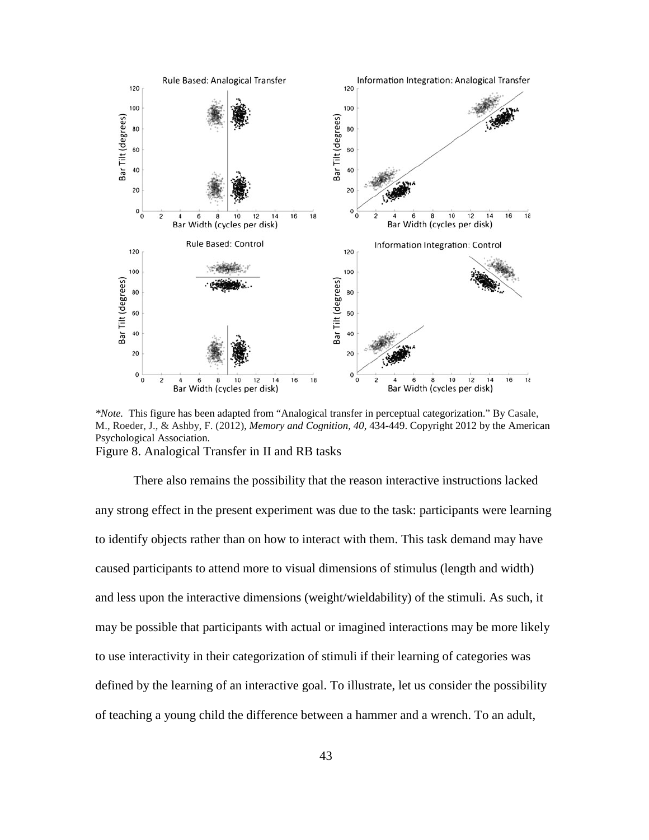

*\*Note.* This figure has been adapted from "Analogical transfer in perceptual categorization." By Casale, M., Roeder, J., & Ashby, F. (2012), *Memory and Cognition, 40*, 434-449. Copyright 2012 by the American Psychological Association. Figure 8. Analogical Transfer in II and RB tasks

There also remains the possibility that the reason interactive instructions lacked any strong effect in the present experiment was due to the task: participants were learning to identify objects rather than on how to interact with them. This task demand may have caused participants to attend more to visual dimensions of stimulus (length and width) and less upon the interactive dimensions (weight/wieldability) of the stimuli. As such, it may be possible that participants with actual or imagined interactions may be more likely to use interactivity in their categorization of stimuli if their learning of categories was defined by the learning of an interactive goal. To illustrate, let us consider the possibility of teaching a young child the difference between a hammer and a wrench. To an adult,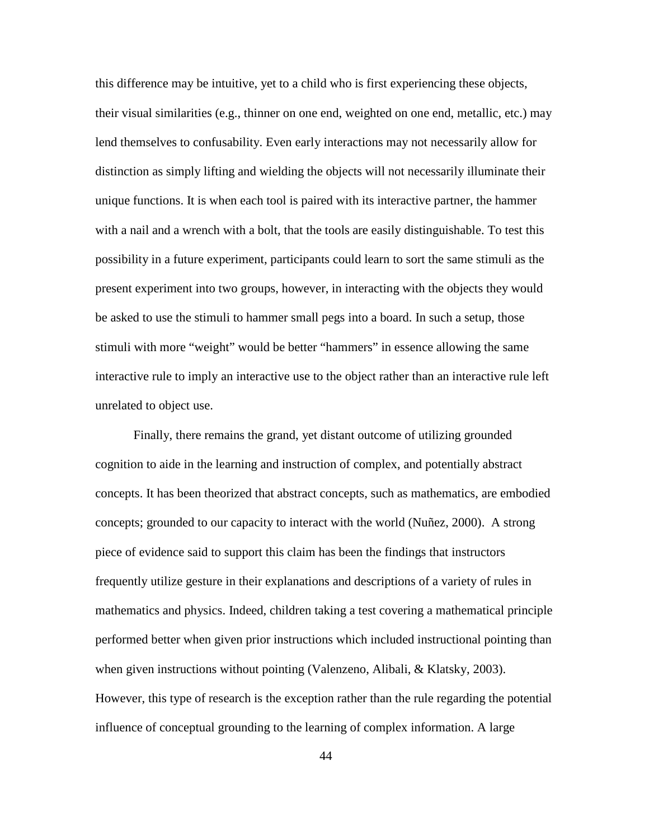this difference may be intuitive, yet to a child who is first experiencing these objects, their visual similarities (e.g., thinner on one end, weighted on one end, metallic, etc.) may lend themselves to confusability. Even early interactions may not necessarily allow for distinction as simply lifting and wielding the objects will not necessarily illuminate their unique functions. It is when each tool is paired with its interactive partner, the hammer with a nail and a wrench with a bolt, that the tools are easily distinguishable. To test this possibility in a future experiment, participants could learn to sort the same stimuli as the present experiment into two groups, however, in interacting with the objects they would be asked to use the stimuli to hammer small pegs into a board. In such a setup, those stimuli with more "weight" would be better "hammers" in essence allowing the same interactive rule to imply an interactive use to the object rather than an interactive rule left unrelated to object use.

Finally, there remains the grand, yet distant outcome of utilizing grounded cognition to aide in the learning and instruction of complex, and potentially abstract concepts. It has been theorized that abstract concepts, such as mathematics, are embodied concepts; grounded to our capacity to interact with the world (Nuñez, 2000). A strong piece of evidence said to support this claim has been the findings that instructors frequently utilize gesture in their explanations and descriptions of a variety of rules in mathematics and physics. Indeed, children taking a test covering a mathematical principle performed better when given prior instructions which included instructional pointing than when given instructions without pointing (Valenzeno, Alibali, & Klatsky, 2003). However, this type of research is the exception rather than the rule regarding the potential influence of conceptual grounding to the learning of complex information. A large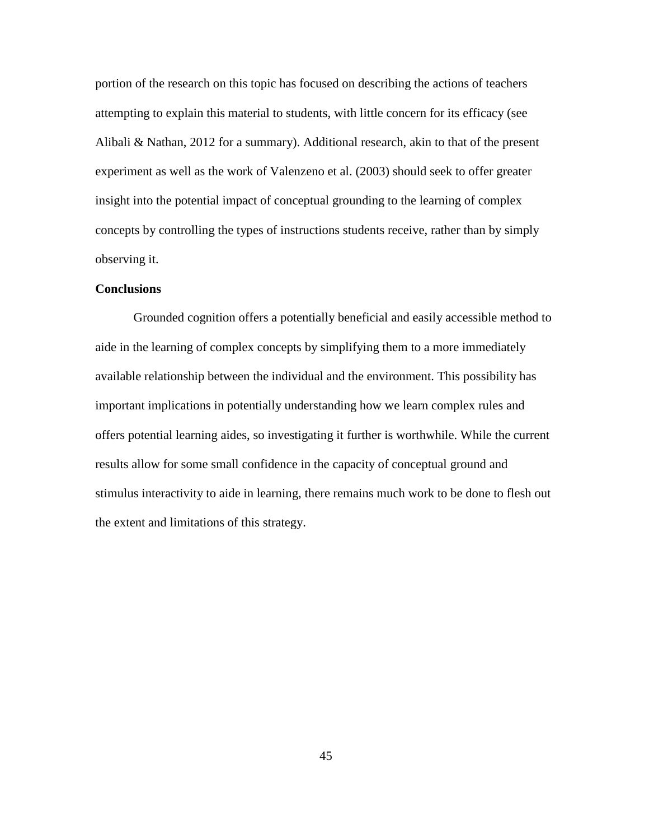portion of the research on this topic has focused on describing the actions of teachers attempting to explain this material to students, with little concern for its efficacy (see Alibali & Nathan, 2012 for a summary). Additional research, akin to that of the present experiment as well as the work of Valenzeno et al. (2003) should seek to offer greater insight into the potential impact of conceptual grounding to the learning of complex concepts by controlling the types of instructions students receive, rather than by simply observing it.

## **Conclusions**

Grounded cognition offers a potentially beneficial and easily accessible method to aide in the learning of complex concepts by simplifying them to a more immediately available relationship between the individual and the environment. This possibility has important implications in potentially understanding how we learn complex rules and offers potential learning aides, so investigating it further is worthwhile. While the current results allow for some small confidence in the capacity of conceptual ground and stimulus interactivity to aide in learning, there remains much work to be done to flesh out the extent and limitations of this strategy.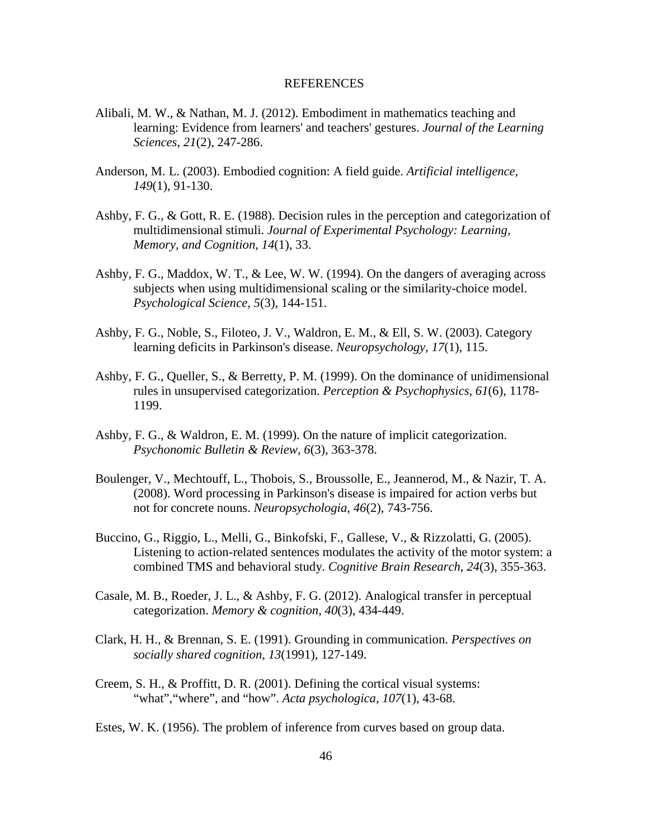#### REFERENCES

- Alibali, M. W., & Nathan, M. J. (2012). Embodiment in mathematics teaching and learning: Evidence from learners' and teachers' gestures. *Journal of the Learning Sciences*, *21*(2), 247-286.
- Anderson, M. L. (2003). Embodied cognition: A field guide. *Artificial intelligence*, *149*(1), 91-130.
- Ashby, F. G., & Gott, R. E. (1988). Decision rules in the perception and categorization of multidimensional stimuli. *Journal of Experimental Psychology: Learning, Memory, and Cognition*, *14*(1), 33.
- Ashby, F. G., Maddox, W. T., & Lee, W. W. (1994). On the dangers of averaging across subjects when using multidimensional scaling or the similarity-choice model. *Psychological Science*, *5*(3), 144-151.
- Ashby, F. G., Noble, S., Filoteo, J. V., Waldron, E. M., & Ell, S. W. (2003). Category learning deficits in Parkinson's disease. *Neuropsychology*, *17*(1), 115.
- Ashby, F. G., Queller, S., & Berretty, P. M. (1999). On the dominance of unidimensional rules in unsupervised categorization. *Perception & Psychophysics*, *61*(6), 1178- 1199.
- Ashby, F. G., & Waldron, E. M. (1999). On the nature of implicit categorization. *Psychonomic Bulletin & Review*, *6*(3), 363-378.
- Boulenger, V., Mechtouff, L., Thobois, S., Broussolle, E., Jeannerod, M., & Nazir, T. A. (2008). Word processing in Parkinson's disease is impaired for action verbs but not for concrete nouns. *Neuropsychologia*, *46*(2), 743-756.
- Buccino, G., Riggio, L., Melli, G., Binkofski, F., Gallese, V., & Rizzolatti, G. (2005). Listening to action-related sentences modulates the activity of the motor system: a combined TMS and behavioral study. *Cognitive Brain Research*, *24*(3), 355-363.
- Casale, M. B., Roeder, J. L., & Ashby, F. G. (2012). Analogical transfer in perceptual categorization. *Memory & cognition*, *40*(3), 434-449.
- Clark, H. H., & Brennan, S. E. (1991). Grounding in communication. *Perspectives on socially shared cognition*, *13*(1991), 127-149.
- Creem, S. H., & Proffitt, D. R. (2001). Defining the cortical visual systems: "what","where", and "how". *Acta psychologica*, *107*(1), 43-68.

Estes, W. K. (1956). The problem of inference from curves based on group data.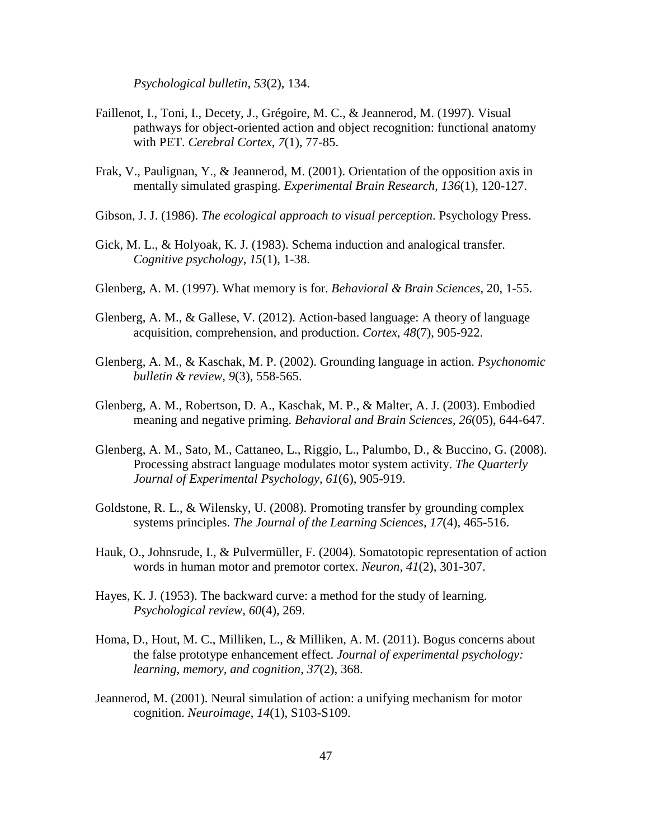*Psychological bulletin*, *53*(2), 134.

- Faillenot, I., Toni, I., Decety, J., Grégoire, M. C., & Jeannerod, M. (1997). Visual pathways for object-oriented action and object recognition: functional anatomy with PET. *Cerebral Cortex*, *7*(1), 77-85.
- Frak, V., Paulignan, Y., & Jeannerod, M. (2001). Orientation of the opposition axis in mentally simulated grasping. *Experimental Brain Research*, *136*(1), 120-127.
- Gibson, J. J. (1986). *The ecological approach to visual perception*. Psychology Press.
- Gick, M. L., & Holyoak, K. J. (1983). Schema induction and analogical transfer. *Cognitive psychology*, *15*(1), 1-38.
- Glenberg, A. M. (1997). What memory is for. *Behavioral & Brain Sciences*, 20, 1-55.
- Glenberg, A. M., & Gallese, V. (2012). Action-based language: A theory of language acquisition, comprehension, and production. *Cortex*, *48*(7), 905-922.
- Glenberg, A. M., & Kaschak, M. P. (2002). Grounding language in action. *Psychonomic bulletin & review*, *9*(3), 558-565.
- Glenberg, A. M., Robertson, D. A., Kaschak, M. P., & Malter, A. J. (2003). Embodied meaning and negative priming. *Behavioral and Brain Sciences*, *26*(05), 644-647.
- Glenberg, A. M., Sato, M., Cattaneo, L., Riggio, L., Palumbo, D., & Buccino, G. (2008). Processing abstract language modulates motor system activity. *The Quarterly Journal of Experimental Psychology*, *61*(6), 905-919.
- Goldstone, R. L., & Wilensky, U. (2008). Promoting transfer by grounding complex systems principles. *The Journal of the Learning Sciences*, *17*(4), 465-516.
- Hauk, O., Johnsrude, I., & Pulvermüller, F. (2004). Somatotopic representation of action words in human motor and premotor cortex. *Neuron*, *41*(2), 301-307.
- Hayes, K. J. (1953). The backward curve: a method for the study of learning. *Psychological review*, *60*(4), 269.
- Homa, D., Hout, M. C., Milliken, L., & Milliken, A. M. (2011). Bogus concerns about the false prototype enhancement effect. *Journal of experimental psychology: learning, memory, and cognition*, *37*(2), 368.
- Jeannerod, M. (2001). Neural simulation of action: a unifying mechanism for motor cognition. *Neuroimage*, *14*(1), S103-S109.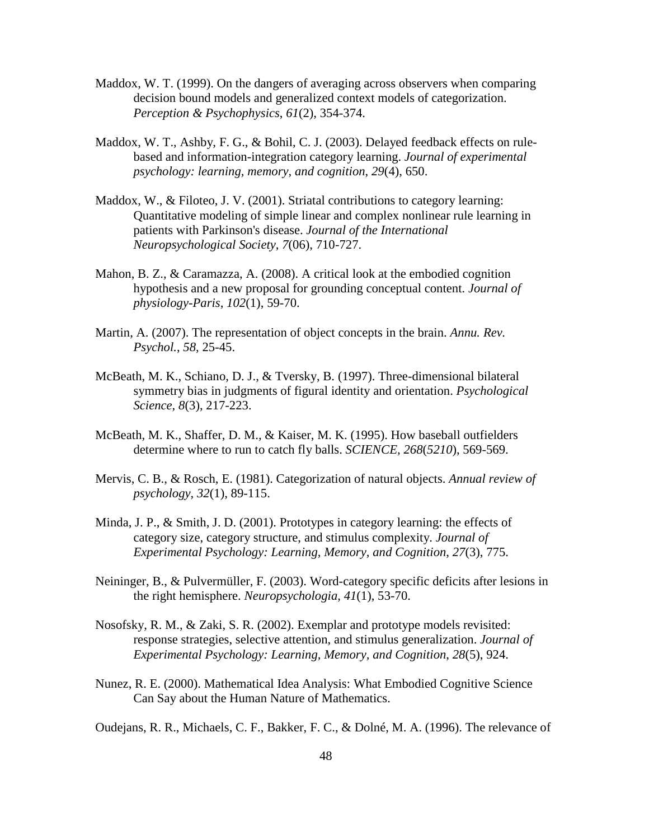- Maddox, W. T. (1999). On the dangers of averaging across observers when comparing decision bound models and generalized context models of categorization. *Perception & Psychophysics*, *61*(2), 354-374.
- Maddox, W. T., Ashby, F. G., & Bohil, C. J. (2003). Delayed feedback effects on rulebased and information-integration category learning. *Journal of experimental psychology: learning, memory, and cognition*, *29*(4), 650.
- Maddox, W., & Filoteo, J. V. (2001). Striatal contributions to category learning: Quantitative modeling of simple linear and complex nonlinear rule learning in patients with Parkinson's disease. *Journal of the International Neuropsychological Society*, *7*(06), 710-727.
- Mahon, B. Z., & Caramazza, A. (2008). A critical look at the embodied cognition hypothesis and a new proposal for grounding conceptual content. *Journal of physiology-Paris*, *102*(1), 59-70.
- Martin, A. (2007). The representation of object concepts in the brain. *Annu. Rev. Psychol.*, *58*, 25-45.
- McBeath, M. K., Schiano, D. J., & Tversky, B. (1997). Three-dimensional bilateral symmetry bias in judgments of figural identity and orientation. *Psychological Science*, *8*(3), 217-223.
- McBeath, M. K., Shaffer, D. M., & Kaiser, M. K. (1995). How baseball outfielders determine where to run to catch fly balls. *SCIENCE, 268*(*5210*), 569-569.
- Mervis, C. B., & Rosch, E. (1981). Categorization of natural objects. *Annual review of psychology*, *32*(1), 89-115.
- Minda, J. P., & Smith, J. D. (2001). Prototypes in category learning: the effects of category size, category structure, and stimulus complexity. *Journal of Experimental Psychology: Learning, Memory, and Cognition*, *27*(3), 775.
- Neininger, B., & Pulvermüller, F. (2003). Word-category specific deficits after lesions in the right hemisphere. *Neuropsychologia*, *41*(1), 53-70.
- Nosofsky, R. M., & Zaki, S. R. (2002). Exemplar and prototype models revisited: response strategies, selective attention, and stimulus generalization. *Journal of Experimental Psychology: Learning, Memory, and Cognition*, *28*(5), 924.
- Nunez, R. E. (2000). Mathematical Idea Analysis: What Embodied Cognitive Science Can Say about the Human Nature of Mathematics.

Oudejans, R. R., Michaels, C. F., Bakker, F. C., & Dolné, M. A. (1996). The relevance of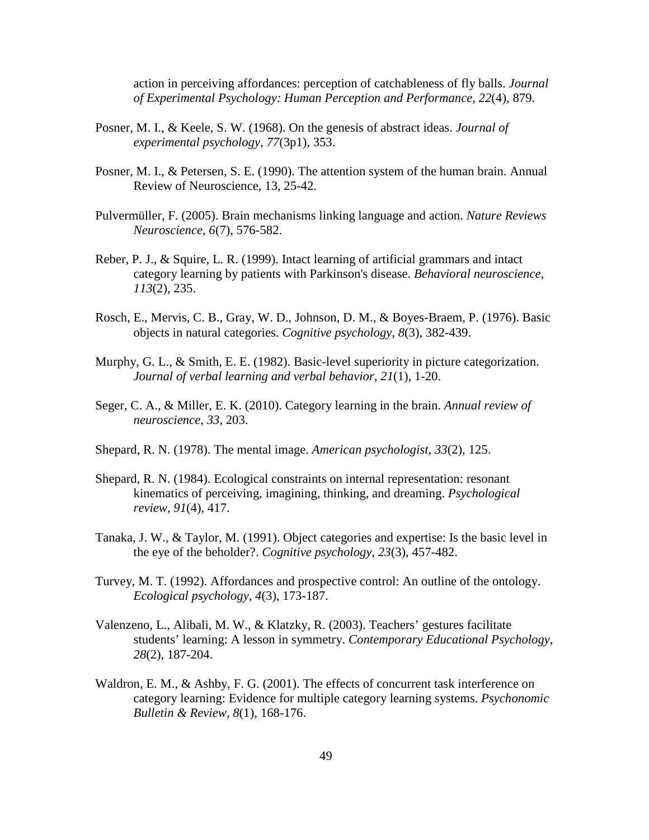action in perceiving affordances: perception of catchableness of fly balls. *Journal of Experimental Psychology: Human Perception and Performance*, *22*(4), 879.

- Posner, M. I., & Keele, S. W. (1968). On the genesis of abstract ideas. *Journal of experimental psychology*, *77*(3p1), 353.
- Posner, M. I., & Petersen, S. E. (1990). The attention system of the human brain. Annual Review of Neuroscience, 13, 25-42.
- Pulvermüller, F. (2005). Brain mechanisms linking language and action. *Nature Reviews Neuroscience*, *6*(7), 576-582.
- Reber, P. J., & Squire, L. R. (1999). Intact learning of artificial grammars and intact category learning by patients with Parkinson's disease. *Behavioral neuroscience*, *113*(2), 235.
- Rosch, E., Mervis, C. B., Gray, W. D., Johnson, D. M., & Boyes-Braem, P. (1976). Basic objects in natural categories. *Cognitive psychology*, *8*(3), 382-439.
- Murphy, G. L., & Smith, E. E. (1982). Basic-level superiority in picture categorization. *Journal of verbal learning and verbal behavior*, *21*(1), 1-20.
- Seger, C. A., & Miller, E. K. (2010). Category learning in the brain. *Annual review of neuroscience*, *33*, 203.
- Shepard, R. N. (1978). The mental image. *American psychologist*, *33*(2), 125.
- Shepard, R. N. (1984). Ecological constraints on internal representation: resonant kinematics of perceiving, imagining, thinking, and dreaming. *Psychological review*, *91*(4), 417.
- Tanaka, J. W., & Taylor, M. (1991). Object categories and expertise: Is the basic level in the eye of the beholder?. *Cognitive psychology*, *23*(3), 457-482.
- Turvey, M. T. (1992). Affordances and prospective control: An outline of the ontology. *Ecological psychology*, *4*(3), 173-187.
- Valenzeno, L., Alibali, M. W., & Klatzky, R. (2003). Teachers' gestures facilitate students' learning: A lesson in symmetry. *Contemporary Educational Psychology*, *28*(2), 187-204.
- Waldron, E. M., & Ashby, F. G. (2001). The effects of concurrent task interference on category learning: Evidence for multiple category learning systems. *Psychonomic Bulletin & Review*, *8*(1), 168-176.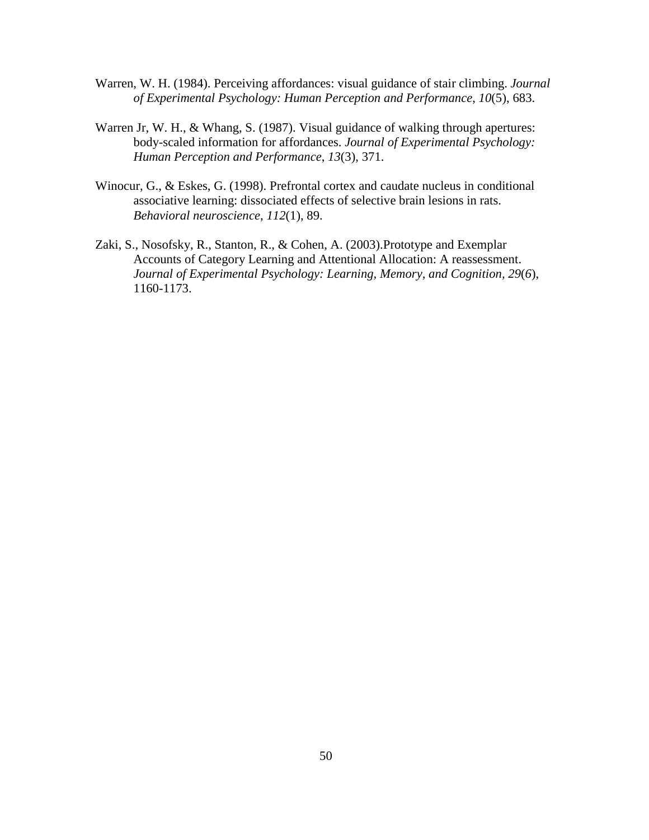- Warren, W. H. (1984). Perceiving affordances: visual guidance of stair climbing. *Journal of Experimental Psychology: Human Perception and Performance*, *10*(5), 683.
- Warren Jr, W. H., & Whang, S. (1987). Visual guidance of walking through apertures: body-scaled information for affordances. *Journal of Experimental Psychology: Human Perception and Performance*, *13*(3), 371.
- Winocur, G., & Eskes, G. (1998). Prefrontal cortex and caudate nucleus in conditional associative learning: dissociated effects of selective brain lesions in rats. *Behavioral neuroscience*, *112*(1), 89.
- Zaki, S., Nosofsky, R., Stanton, R., & Cohen, A. (2003).Prototype and Exemplar Accounts of Category Learning and Attentional Allocation: A reassessment. *Journal of Experimental Psychology: Learning, Memory, and Cognition, 29*(*6*), 1160-1173.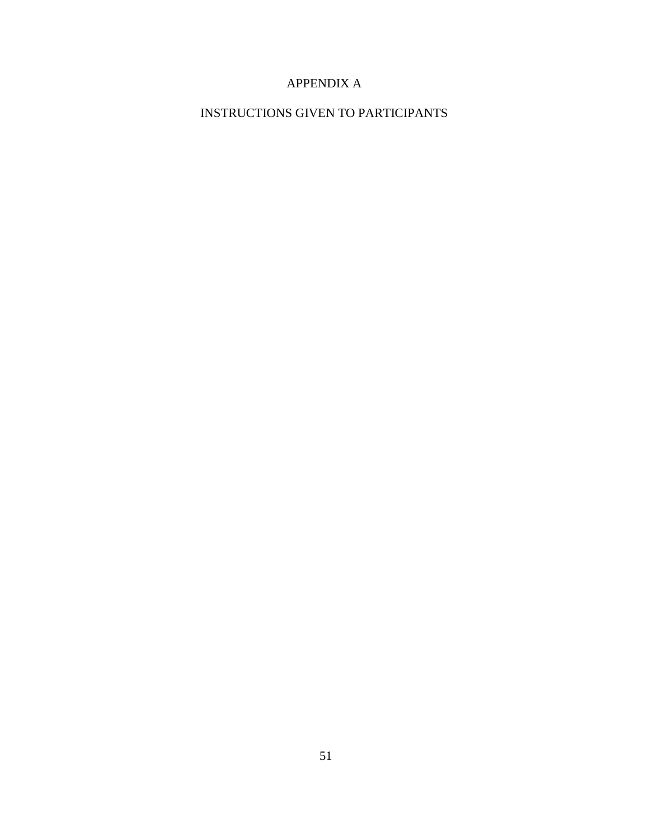## APPENDIX A

INSTRUCTIONS GIVEN TO PARTICIPANTS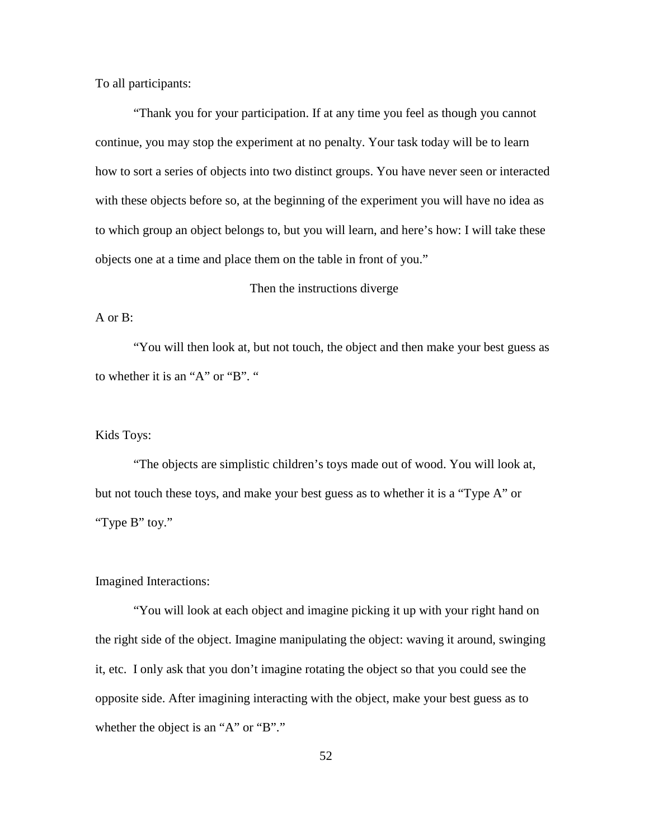To all participants:

"Thank you for your participation. If at any time you feel as though you cannot continue, you may stop the experiment at no penalty. Your task today will be to learn how to sort a series of objects into two distinct groups. You have never seen or interacted with these objects before so, at the beginning of the experiment you will have no idea as to which group an object belongs to, but you will learn, and here's how: I will take these objects one at a time and place them on the table in front of you."

## Then the instructions diverge

A or B:

"You will then look at, but not touch, the object and then make your best guess as to whether it is an "A" or "B". "

#### Kids Toys:

"The objects are simplistic children's toys made out of wood. You will look at, but not touch these toys, and make your best guess as to whether it is a "Type A" or "Type B" toy."

Imagined Interactions:

"You will look at each object and imagine picking it up with your right hand on the right side of the object. Imagine manipulating the object: waving it around, swinging it, etc. I only ask that you don't imagine rotating the object so that you could see the opposite side. After imagining interacting with the object, make your best guess as to whether the object is an "A" or "B"."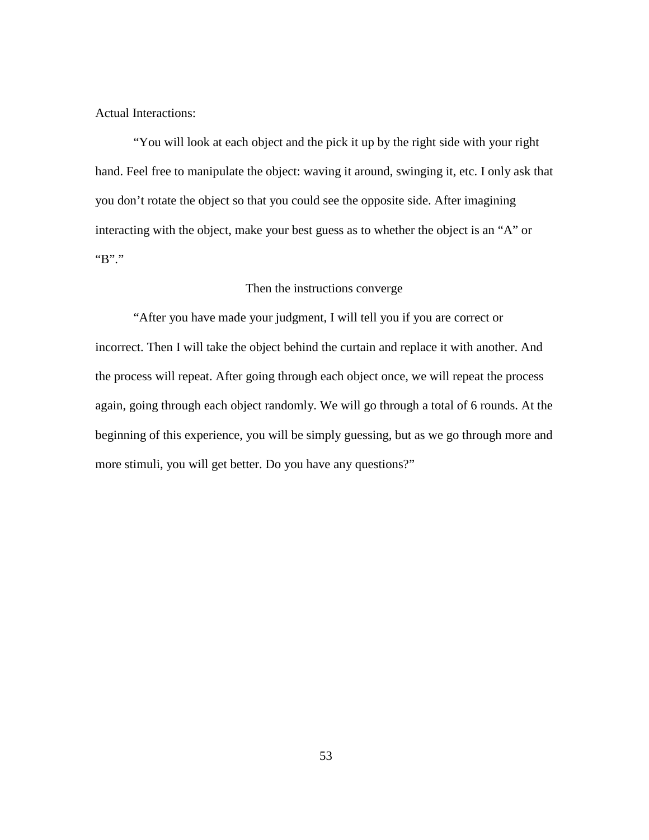Actual Interactions:

"You will look at each object and the pick it up by the right side with your right hand. Feel free to manipulate the object: waving it around, swinging it, etc. I only ask that you don't rotate the object so that you could see the opposite side. After imagining interacting with the object, make your best guess as to whether the object is an "A" or "B"."

## Then the instructions converge

"After you have made your judgment, I will tell you if you are correct or incorrect. Then I will take the object behind the curtain and replace it with another. And the process will repeat. After going through each object once, we will repeat the process again, going through each object randomly. We will go through a total of 6 rounds. At the beginning of this experience, you will be simply guessing, but as we go through more and more stimuli, you will get better. Do you have any questions?"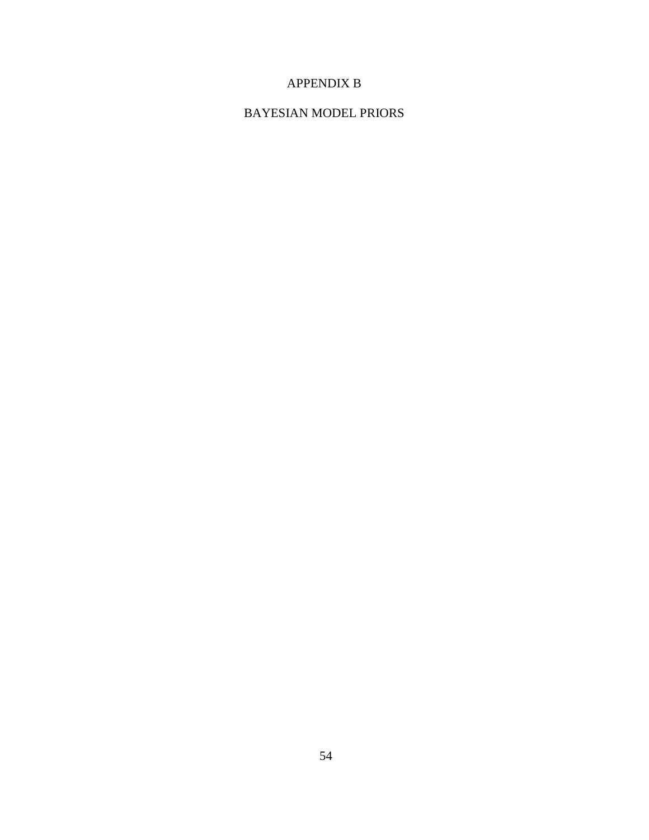## APPENDIX B

## BAYESIAN MODEL PRIORS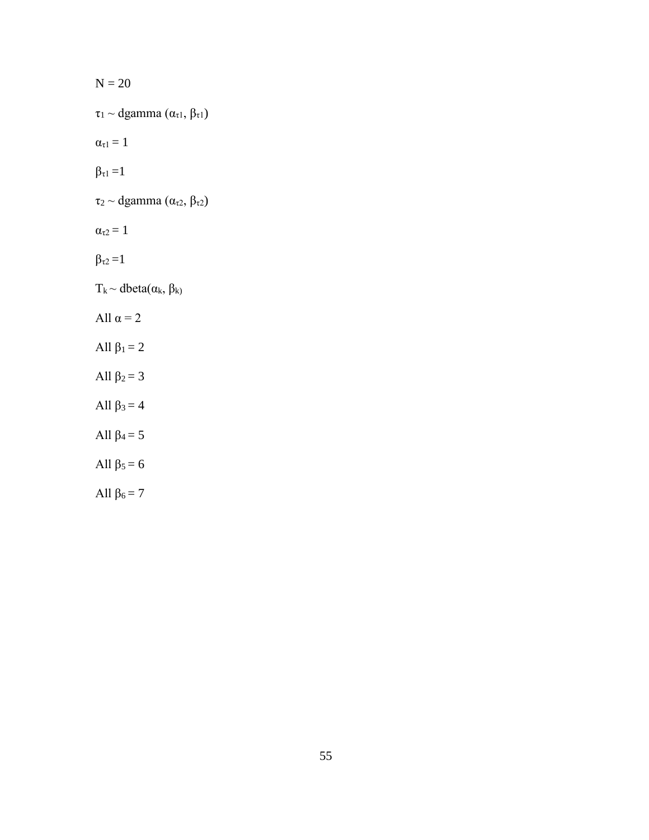| $N = 20$                                                 |
|----------------------------------------------------------|
| $\tau_1 \sim$ dgamma $(\alpha_{\tau 1}, \beta_{\tau 1})$ |
| $\alpha_{\tau} = 1$                                      |
| $\beta_{\tau} = 1$                                       |
| $\tau_2 \sim$ dgamma $(\alpha_{\tau2}, \beta_{\tau2})$   |
| $\alpha_{\tau2}=1$                                       |
| $\beta_{\tau2}=1$                                        |
| $T_k \sim \text{dbeta}(\alpha_k, \beta_k)$               |
| All $\alpha = 2$                                         |
| All $\beta_1 = 2$                                        |
| All $\beta_2 = 3$                                        |
| All $\beta_3 = 4$                                        |
| All $\beta_4 = 5$                                        |
| All $\beta_5 = 6$                                        |
| All $\beta_6 = 7$                                        |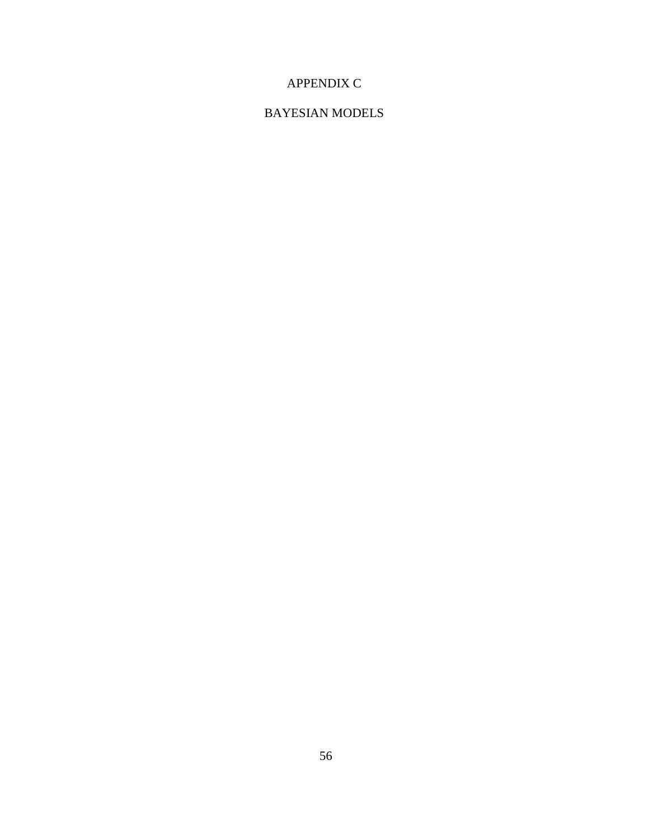# APPENDIX C

## BAYESIAN MODELS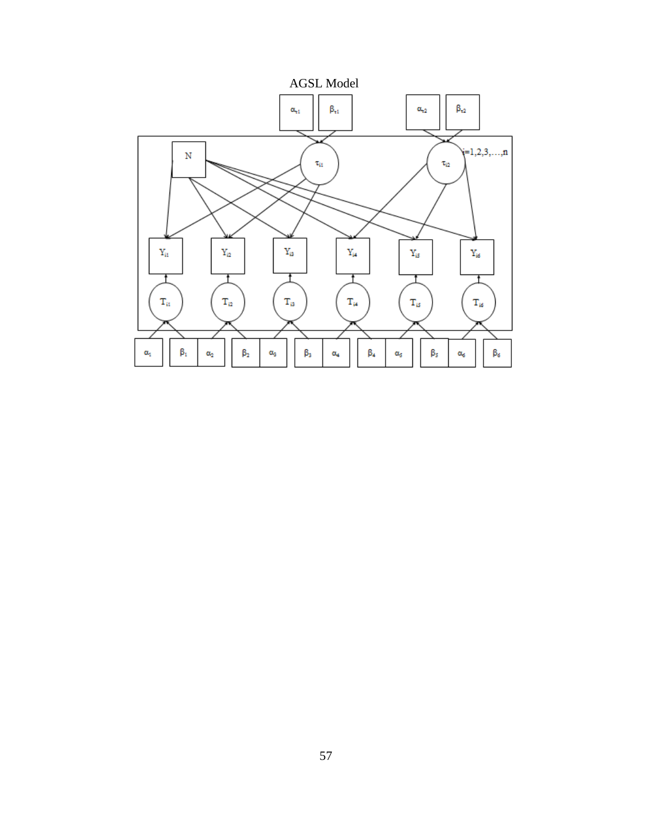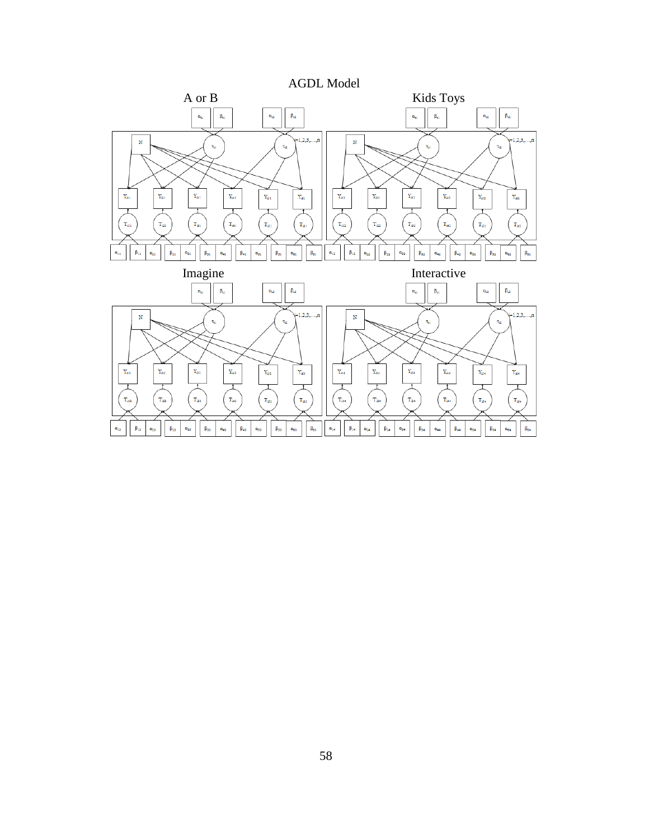

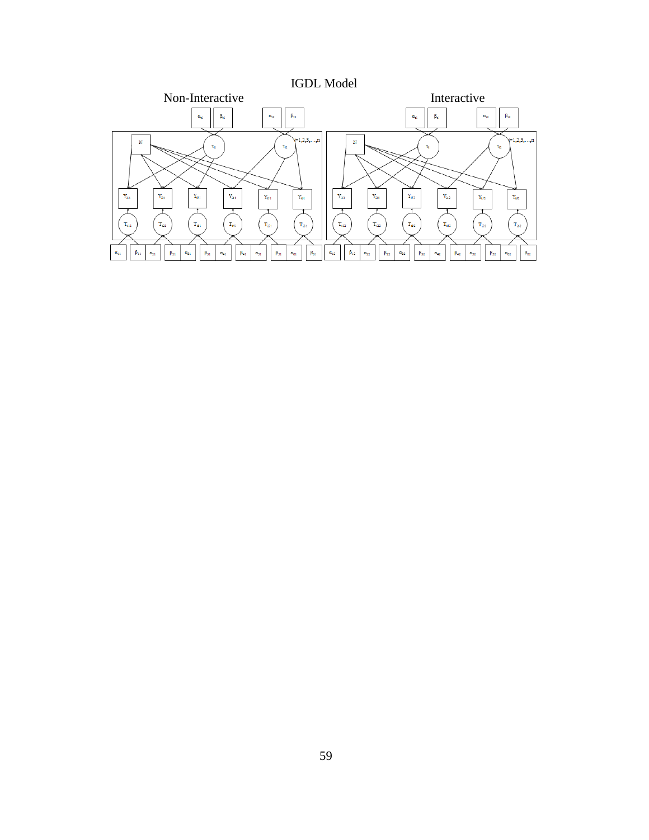